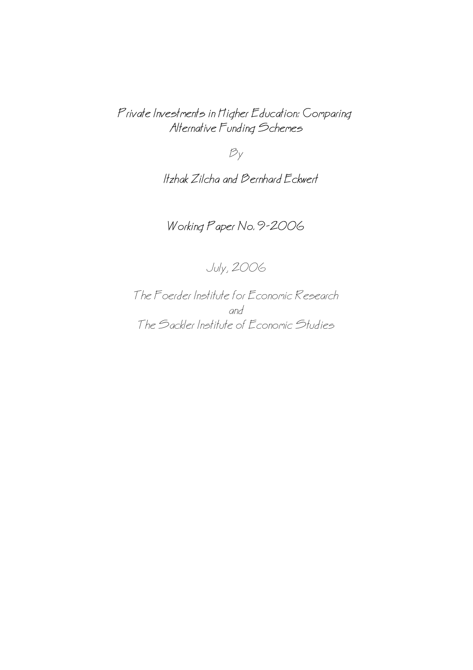Private Investments in Higher Education: Comparing Alternative Funding Schemes

 $B_y$ 

Itzhak Zilcha and Bernhard Eckwert

Working Paper No. 9−2006

July, 2006

The Foerder Institute for Economic Research and The Sackler Institute of Economic Studies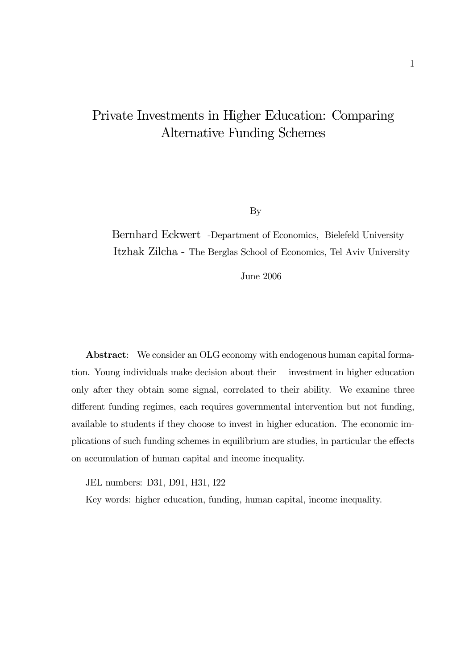# Private Investments in Higher Education: Comparing Alternative Funding Schemes

By

Bernhard Eckwert -Department of Economics, Bielefeld University Itzhak Zilcha - The Berglas School of Economics, Tel Aviv University

June 2006

Abstract: We consider an OLG economy with endogenous human capital formation. Young individuals make decision about their investment in higher education only after they obtain some signal, correlated to their ability. We examine three different funding regimes, each requires governmental intervention but not funding, available to students if they choose to invest in higher education. The economic implications of such funding schemes in equilibrium are studies, in particular the effects on accumulation of human capital and income inequality.

JEL numbers: D31, D91, H31, I22

Key words: higher education, funding, human capital, income inequality.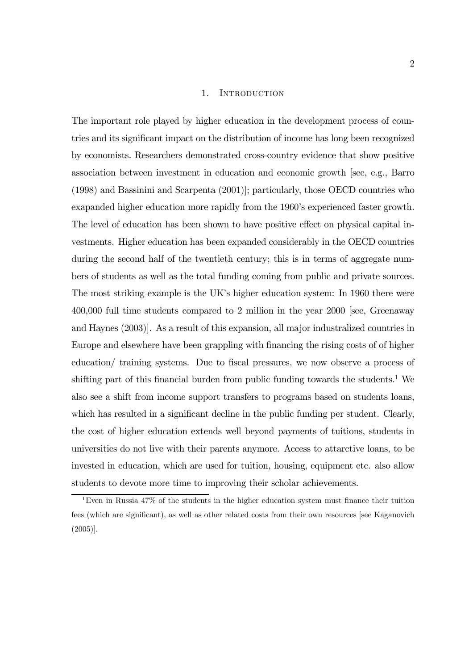#### 1. INTRODUCTION

The important role played by higher education in the development process of countries and its significant impact on the distribution of income has long been recognized by economists. Researchers demonstrated cross-country evidence that show positive association between investment in education and economic growth [see, e.g., Barro (1998) and Bassinini and Scarpenta (2001)]; particularly, those OECD countries who exapanded higher education more rapidly from the 1960's experienced faster growth. The level of education has been shown to have positive effect on physical capital investments. Higher education has been expanded considerably in the OECD countries during the second half of the twentieth century; this is in terms of aggregate numbers of students as well as the total funding coming from public and private sources. The most striking example is the UK's higher education system: In 1960 there were 400,000 full time students compared to 2 million in the year 2000 [see, Greenaway and Haynes (2003)]. As a result of this expansion, all major industralized countries in Europe and elsewhere have been grappling with financing the rising costs of of higher education/ training systems. Due to fiscal pressures, we now observe a process of shifting part of this financial burden from public funding towards the students.<sup>1</sup> We also see a shift from income support transfers to programs based on students loans, which has resulted in a significant decline in the public funding per student. Clearly, the cost of higher education extends well beyond payments of tuitions, students in universities do not live with their parents anymore. Access to attarctive loans, to be invested in education, which are used for tuition, housing, equipment etc. also allow students to devote more time to improving their scholar achievements.

<sup>1</sup>Even in Russia 47% of the students in the higher education system must finance their tuition fees (which are significant), as well as other related costs from their own resources [see Kaganovich (2005)].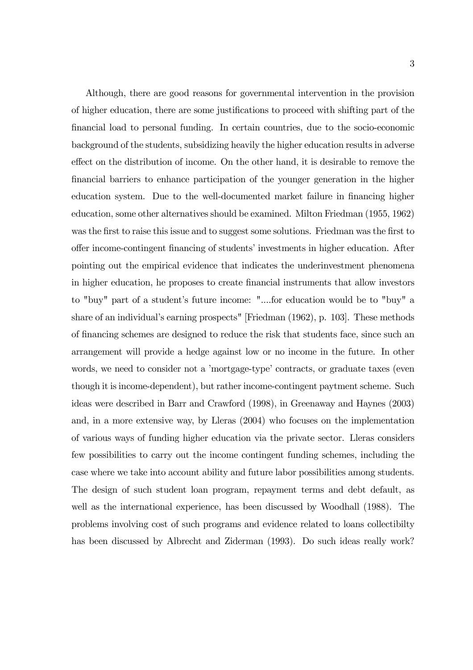Although, there are good reasons for governmental intervention in the provision of higher education, there are some justifications to proceed with shifting part of the financial load to personal funding. In certain countries, due to the socio-economic background of the students, subsidizing heavily the higher education results in adverse effect on the distribution of income. On the other hand, it is desirable to remove the financial barriers to enhance participation of the younger generation in the higher education system. Due to the well-documented market failure in financing higher education, some other alternatives should be examined. Milton Friedman (1955, 1962) was the first to raise this issue and to suggest some solutions. Friedman was the first to offer income-contingent financing of students' investments in higher education. After pointing out the empirical evidence that indicates the underinvestment phenomena in higher education, he proposes to create financial instruments that allow investors to "buy" part of a student's future income: "....for education would be to "buy" a share of an individual's earning prospects" [Friedman (1962), p. 103]. These methods of financing schemes are designed to reduce the risk that students face, since such an arrangement will provide a hedge against low or no income in the future. In other words, we need to consider not a 'mortgage-type' contracts, or graduate taxes (even though it is income-dependent), but rather income-contingent paytment scheme. Such ideas were described in Barr and Crawford (1998), in Greenaway and Haynes (2003) and, in a more extensive way, by Lleras (2004) who focuses on the implementation of various ways of funding higher education via the private sector. Lleras considers few possibilities to carry out the income contingent funding schemes, including the case where we take into account ability and future labor possibilities among students. The design of such student loan program, repayment terms and debt default, as well as the international experience, has been discussed by Woodhall (1988). The problems involving cost of such programs and evidence related to loans collectibilty has been discussed by Albrecht and Ziderman (1993). Do such ideas really work?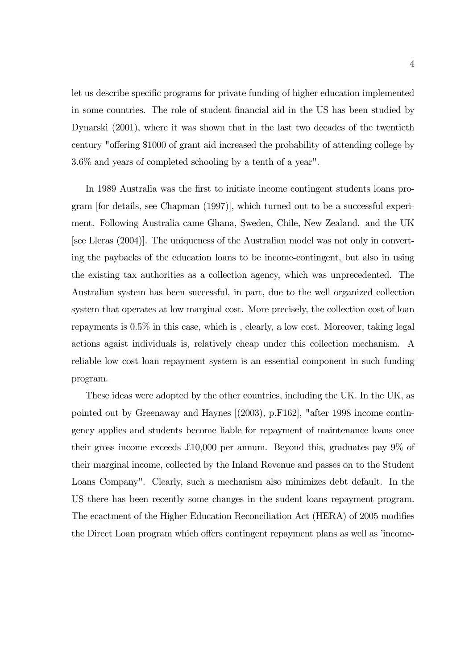let us describe specific programs for private funding of higher education implemented in some countries. The role of student financial aid in the US has been studied by Dynarski (2001), where it was shown that in the last two decades of the twentieth century "offering \$1000 of grant aid increased the probability of attending college by 3.6% and years of completed schooling by a tenth of a year".

In 1989 Australia was the first to initiate income contingent students loans program [for details, see Chapman (1997)], which turned out to be a successful experiment. Following Australia came Ghana, Sweden, Chile, New Zealand. and the UK [see Lleras (2004)]. The uniqueness of the Australian model was not only in converting the paybacks of the education loans to be income-contingent, but also in using the existing tax authorities as a collection agency, which was unprecedented. The Australian system has been successful, in part, due to the well organized collection system that operates at low marginal cost. More precisely, the collection cost of loan repayments is 0.5% in this case, which is , clearly, a low cost. Moreover, taking legal actions agaist individuals is, relatively cheap under this collection mechanism. A reliable low cost loan repayment system is an essential component in such funding program.

These ideas were adopted by the other countries, including the UK. In the UK, as pointed out by Greenaway and Haynes [(2003), p.F162], "after 1998 income contingency applies and students become liable for repayment of maintenance loans once their gross income exceeds £10,000 per annum. Beyond this, graduates pay 9% of their marginal income, collected by the Inland Revenue and passes on to the Student Loans Company". Clearly, such a mechanism also minimizes debt default. In the US there has been recently some changes in the sudent loans repayment program. The ecactment of the Higher Education Reconciliation Act (HERA) of 2005 modifies the Direct Loan program which offers contingent repayment plans as well as 'income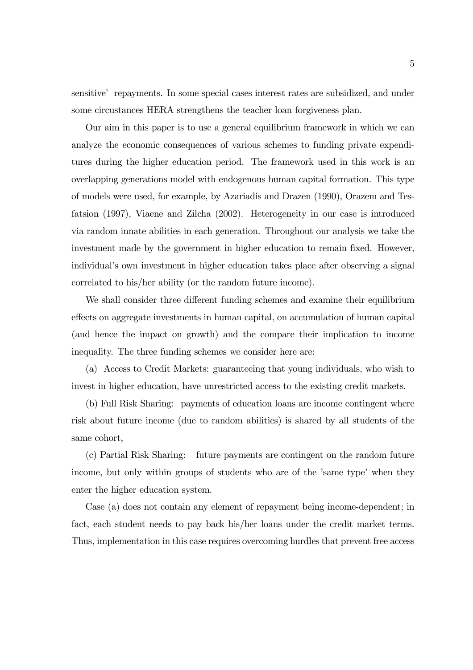sensitive' repayments. In some special cases interest rates are subsidized, and under some circustances HERA strengthens the teacher loan forgiveness plan.

Our aim in this paper is to use a general equilibrium framework in which we can analyze the economic consequences of various schemes to funding private expenditures during the higher education period. The framework used in this work is an overlapping generations model with endogenous human capital formation. This type of models were used, for example, by Azariadis and Drazen (1990), Orazem and Tesfatsion (1997), Viaene and Zilcha (2002). Heterogeneity in our case is introduced via random innate abilities in each generation. Throughout our analysis we take the investment made by the government in higher education to remain fixed. However, individual's own investment in higher education takes place after observing a signal correlated to his/her ability (or the random future income).

We shall consider three different funding schemes and examine their equilibrium effects on aggregate investments in human capital, on accumulation of human capital (and hence the impact on growth) and the compare their implication to income inequality. The three funding schemes we consider here are:

(a) Access to Credit Markets: guaranteeing that young individuals, who wish to invest in higher education, have unrestricted access to the existing credit markets.

(b) Full Risk Sharing: payments of education loans are income contingent where risk about future income (due to random abilities) is shared by all students of the same cohort,

(c) Partial Risk Sharing: future payments are contingent on the random future income, but only within groups of students who are of the 'same type' when they enter the higher education system.

Case (a) does not contain any element of repayment being income-dependent; in fact, each student needs to pay back his/her loans under the credit market terms. Thus, implementation in this case requires overcoming hurdles that prevent free access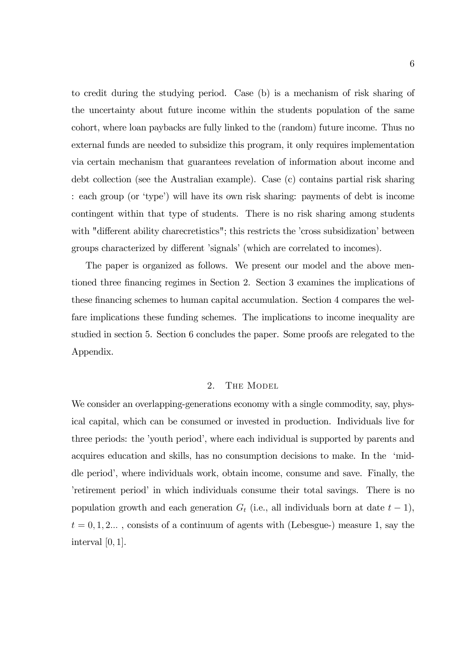to credit during the studying period. Case (b) is a mechanism of risk sharing of the uncertainty about future income within the students population of the same cohort, where loan paybacks are fully linked to the (random) future income. Thus no external funds are needed to subsidize this program, it only requires implementation via certain mechanism that guarantees revelation of information about income and debt collection (see the Australian example). Case (c) contains partial risk sharing : each group (or 'type') will have its own risk sharing: payments of debt is income contingent within that type of students. There is no risk sharing among students with "different ability charecretistics"; this restricts the 'cross subsidization' between groups characterized by different 'signals' (which are correlated to incomes).

The paper is organized as follows. We present our model and the above mentioned three financing regimes in Section 2. Section 3 examines the implications of these financing schemes to human capital accumulation. Section 4 compares the welfare implications these funding schemes. The implications to income inequality are studied in section 5. Section 6 concludes the paper. Some proofs are relegated to the Appendix.

### 2. THE MODEL

We consider an overlapping-generations economy with a single commodity, say, physical capital, which can be consumed or invested in production. Individuals live for three periods: the 'youth period', where each individual is supported by parents and acquires education and skills, has no consumption decisions to make. In the 'middle period', where individuals work, obtain income, consume and save. Finally, the 'retirement period' in which individuals consume their total savings. There is no population growth and each generation  $G_t$  (i.e., all individuals born at date  $t-1$ ),  $t = 0, 1, 2...$ , consists of a continuum of agents with (Lebesgue-) measure 1, say the interval  $[0, 1]$ .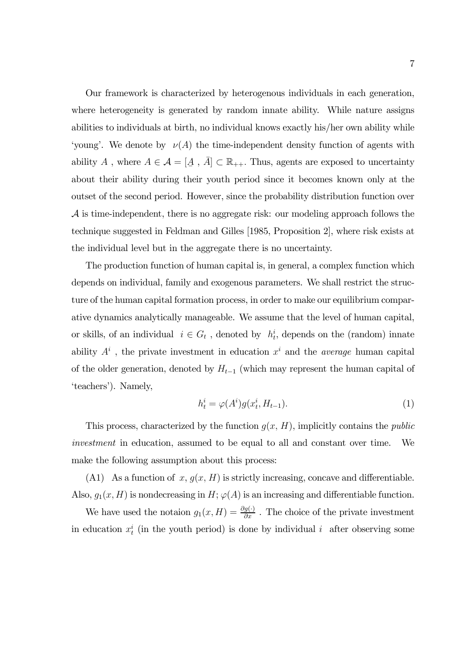Our framework is characterized by heterogenous individuals in each generation, where heterogeneity is generated by random innate ability. While nature assigns abilities to individuals at birth, no individual knows exactly his/her own ability while 'young'. We denote by  $\nu(A)$  the time-independent density function of agents with ability  $A$ , where  $A \in \mathcal{A} = [\underline{A}, \overline{A}] \subset \mathbb{R}_{++}$ . Thus, agents are exposed to uncertainty about their ability during their youth period since it becomes known only at the outset of the second period. However, since the probability distribution function over A is time-independent, there is no aggregate risk: our modeling approach follows the technique suggested in Feldman and Gilles [1985, Proposition 2], where risk exists at the individual level but in the aggregate there is no uncertainty.

The production function of human capital is, in general, a complex function which depends on individual, family and exogenous parameters. We shall restrict the structure of the human capital formation process, in order to make our equilibrium comparative dynamics analytically manageable. We assume that the level of human capital, or skills, of an individual  $i \in G_t$ , denoted by  $h_t^i$ , depends on the (random) innate ability  $A^i$ , the private investment in education  $x^i$  and the *average* human capital of the older generation, denoted by  $H_{t-1}$  (which may represent the human capital of 'teachers'). Namely,

$$
h_t^i = \varphi(A^i)g(x_t^i, H_{t-1}).
$$
\n<sup>(1)</sup>

This process, characterized by the function  $g(x, H)$ , implicitly contains the *public* investment in education, assumed to be equal to all and constant over time. We make the following assumption about this process:

(A1) As a function of  $x, g(x, H)$  is strictly increasing, concave and differentiable. Also,  $g_1(x, H)$  is nondecreasing in  $H$ ;  $\varphi(A)$  is an increasing and differentiable function.

We have used the notaion  $g_1(x,H) = \frac{\partial g(\cdot)}{\partial x}$ . The choice of the private investment in education  $x_t^i$  (in the youth period) is done by individual i after observing some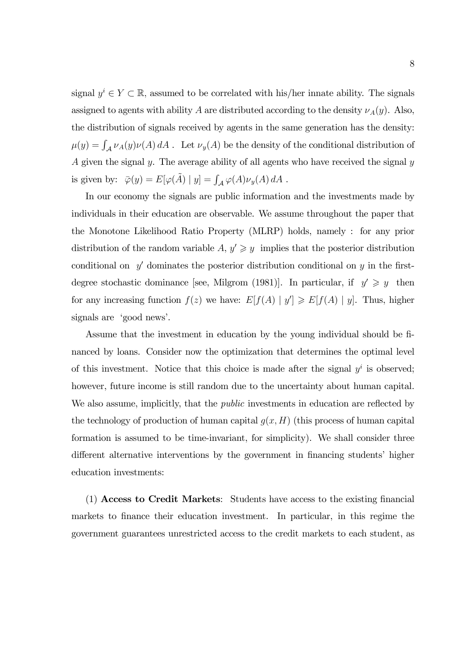signal  $y^i \in Y \subset \mathbb{R}$ , assumed to be correlated with his/her innate ability. The signals assigned to agents with ability A are distributed according to the density  $\nu_A(y)$ . Also, the distribution of signals received by agents in the same generation has the density:  $\mu(y) = \int_{\mathcal{A}} \nu_A(y) \nu(A) dA$ . Let  $\nu_y(A)$  be the density of the conditional distribution of A given the signal y. The average ability of all agents who have received the signal  $y$ is given by:  $\bar{\varphi}(y) = E[\varphi(\tilde{A}) | y] = \int_{\mathcal{A}} \varphi(A) \nu_y(A) dA$ .

In our economy the signals are public information and the investments made by individuals in their education are observable. We assume throughout the paper that the Monotone Likelihood Ratio Property (MLRP) holds, namely : for any prior distribution of the random variable A,  $y' \geq y$  implies that the posterior distribution conditional on  $y'$  dominates the posterior distribution conditional on y in the firstdegree stochastic dominance [see, Milgrom (1981)]. In particular, if  $y' \geq y$  then for any increasing function  $f(z)$  we have:  $E[f(A) | y'] \ge E[f(A) | y]$ . Thus, higher signals are 'good news'.

Assume that the investment in education by the young individual should be financed by loans. Consider now the optimization that determines the optimal level of this investment. Notice that this choice is made after the signal  $y^i$  is observed; however, future income is still random due to the uncertainty about human capital. We also assume, implicitly, that the *public* investments in education are reflected by the technology of production of human capital  $g(x, H)$  (this process of human capital formation is assumed to be time-invariant, for simplicity). We shall consider three different alternative interventions by the government in financing students' higher education investments:

(1) Access to Credit Markets: Students have access to the existing financial markets to finance their education investment. In particular, in this regime the government guarantees unrestricted access to the credit markets to each student, as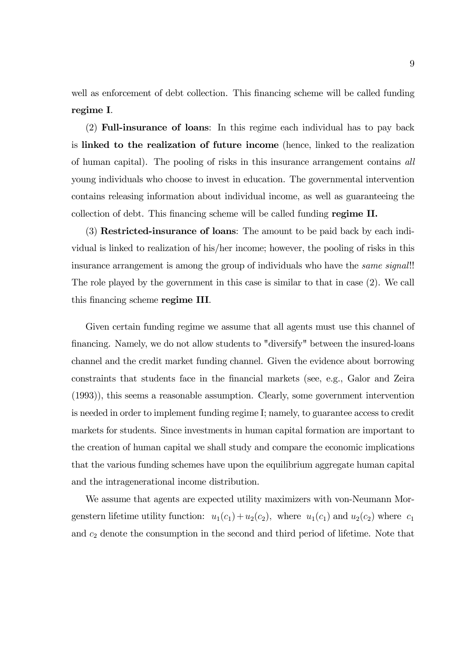well as enforcement of debt collection. This financing scheme will be called funding regime I.

(2) Full-insurance of loans: In this regime each individual has to pay back is linked to the realization of future income (hence, linked to the realization of human capital). The pooling of risks in this insurance arrangement contains all young individuals who choose to invest in education. The governmental intervention contains releasing information about individual income, as well as guaranteeing the collection of debt. This financing scheme will be called funding regime II.

(3) Restricted-insurance of loans: The amount to be paid back by each individual is linked to realization of his/her income; however, the pooling of risks in this insurance arrangement is among the group of individuals who have the *same signal*!! The role played by the government in this case is similar to that in case (2). We call this financing scheme regime III.

Given certain funding regime we assume that all agents must use this channel of financing. Namely, we do not allow students to "diversify" between the insured-loans channel and the credit market funding channel. Given the evidence about borrowing constraints that students face in the financial markets (see, e.g., Galor and Zeira (1993)), this seems a reasonable assumption. Clearly, some government intervention is needed in order to implement funding regime I; namely, to guarantee access to credit markets for students. Since investments in human capital formation are important to the creation of human capital we shall study and compare the economic implications that the various funding schemes have upon the equilibrium aggregate human capital and the intragenerational income distribution.

We assume that agents are expected utility maximizers with von-Neumann Morgenstern lifetime utility function:  $u_1(c_1) + u_2(c_2)$ , where  $u_1(c_1)$  and  $u_2(c_2)$  where  $c_1$ and  $c_2$  denote the consumption in the second and third period of lifetime. Note that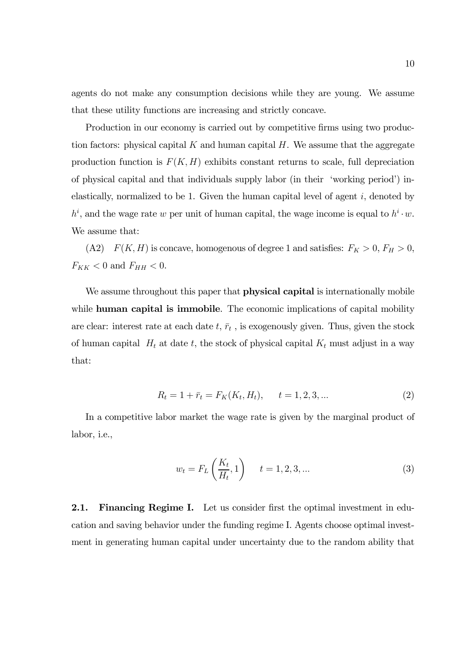agents do not make any consumption decisions while they are young. We assume that these utility functions are increasing and strictly concave.

Production in our economy is carried out by competitive firms using two production factors: physical capital  $K$  and human capital  $H$ . We assume that the aggregate production function is  $F(K, H)$  exhibits constant returns to scale, full depreciation of physical capital and that individuals supply labor (in their 'working period') inelastically, normalized to be 1. Given the human capital level of agent  $i$ , denoted by  $h^i$ , and the wage rate w per unit of human capital, the wage income is equal to  $h^i \cdot w$ . We assume that:

(A2)  $F(K, H)$  is concave, homogenous of degree 1 and satisfies:  $F_K > 0$ ,  $F_H > 0$ ,  $F_{KK}$  < 0 and  $F_{HH}$  < 0.

We assume throughout this paper that **physical capital** is internationally mobile while **human capital is immobile**. The economic implications of capital mobility are clear: interest rate at each date  $t, \bar{r}_t$ , is exogenously given. Thus, given the stock of human capital  $H_t$  at date t, the stock of physical capital  $K_t$  must adjust in a way that:

$$
R_t = 1 + \bar{r}_t = F_K(K_t, H_t), \qquad t = 1, 2, 3, \dots \tag{2}
$$

In a competitive labor market the wage rate is given by the marginal product of labor, i.e.,

$$
w_t = F_L\left(\frac{K_t}{H_t}, 1\right) \qquad t = 1, 2, 3, \dots \tag{3}
$$

2.1. Financing Regime I. Let us consider first the optimal investment in education and saving behavior under the funding regime I. Agents choose optimal investment in generating human capital under uncertainty due to the random ability that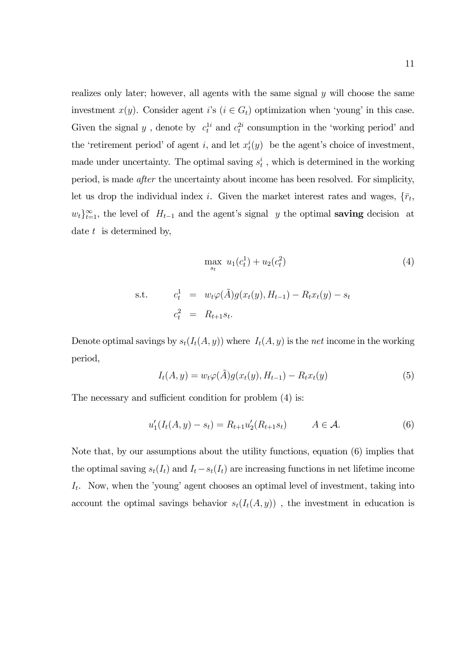realizes only later; however, all agents with the same signal y will choose the same investment  $x(y)$ . Consider agent i's  $(i \in G_t)$  optimization when 'young' in this case. Given the signal  $y$ , denote by  $c_t^{1i}$  and  $c_t^{2i}$  consumption in the 'working period' and the 'retirement period' of agent i, and let  $x_t^i(y)$  be the agent's choice of investment, made under uncertainty. The optimal saving  $s_t^i$ , which is determined in the working period, is made after the uncertainty about income has been resolved. For simplicity, let us drop the individual index i. Given the market interest rates and wages,  $\{\bar{r}_t,$  $w_t$ <sub>i</sub><sup>∞</sup><sub>t=1</sub>, the level of  $H_{t-1}$  and the agent's signal y the optimal **saving** decision at date  $t$  is determined by,

$$
\max_{s_t} u_1(c_t^1) + u_2(c_t^2)
$$
\n
$$
\text{s.t.} \qquad c_t^1 = w_t \varphi(\tilde{A}) g(x_t(y), H_{t-1}) - R_t x_t(y) - s_t
$$
\n
$$
c_t^2 = R_{t+1} s_t.
$$
\n(4)

Denote optimal savings by  $s_t(I_t(A, y))$  where  $I_t(A, y)$  is the net income in the working period,

$$
I_t(A, y) = w_t \varphi(\tilde{A}) g(x_t(y), H_{t-1}) - R_t x_t(y)
$$
\n(5)

The necessary and sufficient condition for problem (4) is:

$$
u'_1(I_t(A, y) - s_t) = R_{t+1}u'_2(R_{t+1}s_t) \qquad A \in \mathcal{A}.
$$
 (6)

Note that, by our assumptions about the utility functions, equation (6) implies that the optimal saving  $s_t(I_t)$  and  $I_t - s_t(I_t)$  are increasing functions in net lifetime income  $I_t$ . Now, when the 'young' agent chooses an optimal level of investment, taking into account the optimal savings behavior  $s_t(I_t(A, y))$ , the investment in education is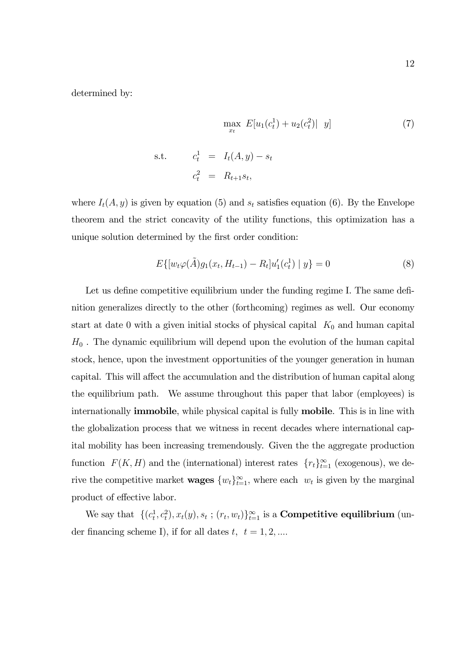determined by:

$$
\max_{x_t} E[u_1(c_t^1) + u_2(c_t^2)| y] \tag{7}
$$
  
s.t.  $c_t^1 = I_t(A, y) - s_t$   
 $c_t^2 = R_{t+1}s_t$ 

where  $I_t(A, y)$  is given by equation (5) and  $s_t$  satisfies equation (6). By the Envelope theorem and the strict concavity of the utility functions, this optimization has a unique solution determined by the first order condition:

$$
E\{[w_t\varphi(\tilde{A})g_1(x_t, H_{t-1}) - R_t]u'_1(c_t^1) | y\} = 0
$$
\n(8)

Let us define competitive equilibrium under the funding regime I. The same definition generalizes directly to the other (forthcoming) regimes as well. Our economy start at date 0 with a given initial stocks of physical capital  $K_0$  and human capital  $H_0$ . The dynamic equilibrium will depend upon the evolution of the human capital stock, hence, upon the investment opportunities of the younger generation in human capital. This will affect the accumulation and the distribution of human capital along the equilibrium path. We assume throughout this paper that labor (employees) is internationally immobile, while physical capital is fully mobile. This is in line with the globalization process that we witness in recent decades where international capital mobility has been increasing tremendously. Given the the aggregate production function  $F(K, H)$  and the (international) interest rates  $\{r_t\}_{t=1}^{\infty}$  (exogenous), we derive the competitive market **wages**  $\{w_t\}_{t=1}^{\infty}$ , where each  $w_t$  is given by the marginal product of effective labor.

We say that  $\{(c_t^1, c_t^2), x_t(y), s_t; (r_t, w_t)\}_{t=1}^{\infty}$  is a **Competitive equilibrium** (under financing scheme I), if for all dates  $t, t = 1, 2, ...$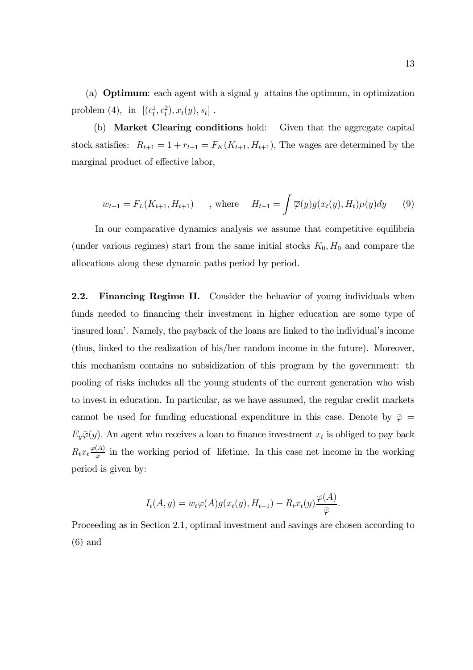(a) **Optimum**: each agent with a signal  $y$  attains the optimum, in optimization problem (4), in  $[(c_t^1, c_t^2), x_t(y), s_t]$ .

(b) Market Clearing conditions hold: Given that the aggregate capital stock satisfies:  $R_{t+1} = 1 + r_{t+1} = F_K(K_{t+1}, H_{t+1}),$  The wages are determined by the marginal product of effective labor,

$$
w_{t+1} = F_L(K_{t+1}, H_{t+1})
$$
, where  $H_{t+1} = \int \overline{\varphi}(y) g(x_t(y), H_t) \mu(y) dy$  (9)

In our comparative dynamics analysis we assume that competitive equilibria (under various regimes) start from the same initial stocks  $K_0, H_0$  and compare the allocations along these dynamic paths period by period.

2.2. Financing Regime II. Consider the behavior of young individuals when funds needed to financing their investment in higher education are some type of 'insured loan'. Namely, the payback of the loans are linked to the individual's income (thus, linked to the realization of his/her random income in the future). Moreover, this mechanism contains no subsidization of this program by the government: th pooling of risks includes all the young students of the current generation who wish to invest in education. In particular, as we have assumed, the regular credit markets cannot be used for funding educational expenditure in this case. Denote by  $\bar{\varphi} =$  $E_y\overline{\varphi}(y)$ . An agent who receives a loan to finance investment  $x_t$  is obliged to pay back  $R_t x_t \frac{\varphi(A)}{\bar{\varphi}}$  in the working period of lifetime. In this case net income in the working period is given by:

$$
I_t(A,y) = w_t \varphi(A) g(x_t(y), H_{t-1}) - R_t x_t(y) \frac{\varphi(A)}{\overline{\varphi}}.
$$

Proceeding as in Section 2.1, optimal investment and savings are chosen according to (6) and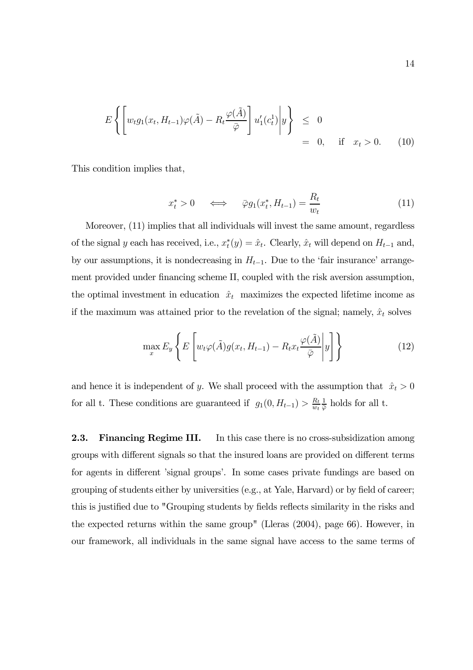$$
E\left\{ \left[ w_t g_1(x_t, H_{t-1}) \varphi(\tilde{A}) - R_t \frac{\varphi(\tilde{A})}{\bar{\varphi}} \right] u_1'(c_t^1) \middle| y \right\} \leq 0
$$
  
= 0, if  $x_t > 0$ . (10)

This condition implies that,

$$
x_t^* > 0 \qquad \Longleftrightarrow \qquad \bar{\varphi}g_1(x_t^*, H_{t-1}) = \frac{R_t}{w_t} \tag{11}
$$

Moreover, (11) implies that all individuals will invest the same amount, regardless of the signal y each has received, i.e.,  $x_t^*(y) = \hat{x}_t$ . Clearly,  $\hat{x}_t$  will depend on  $H_{t-1}$  and, by our assumptions, it is nondecreasing in  $H_{t-1}$ . Due to the 'fair insurance' arrangement provided under financing scheme II, coupled with the risk aversion assumption, the optimal investment in education  $\hat{x}_t$  maximizes the expected lifetime income as if the maximum was attained prior to the revelation of the signal; namely,  $\hat{x}_t$  solves

$$
\max_{x} E_y \left\{ E \left[ w_t \varphi(\tilde{A}) g(x_t, H_{t-1}) - R_t x_t \frac{\varphi(\tilde{A})}{\bar{\varphi}} \middle| y \right] \right\} \tag{12}
$$

and hence it is independent of y. We shall proceed with the assumption that  $\hat{x}_t > 0$ for all t. These conditions are guaranteed if  $g_1(0, H_{t-1}) > \frac{R_t}{w_t}$  $\frac{1}{\overline{\varphi}}$  holds for all t.

2.3. Financing Regime III. In this case there is no cross-subsidization among groups with different signals so that the insured loans are provided on different terms for agents in different 'signal groups'. In some cases private fundings are based on grouping of students either by universities (e.g., at Yale, Harvard) or by field of career; this is justified due to "Grouping students by fields reflects similarity in the risks and the expected returns within the same group" (Lleras (2004), page 66). However, in our framework, all individuals in the same signal have access to the same terms of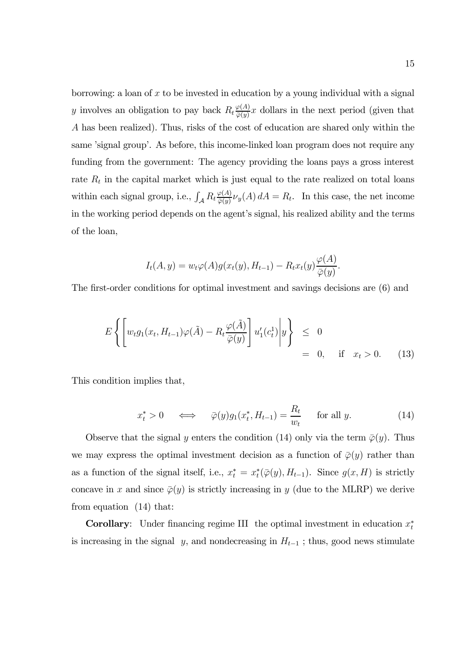borrowing: a loan of  $x$  to be invested in education by a young individual with a signal y involves an obligation to pay back  $R_t \frac{\varphi(A)}{\varphi(y)} x$  dollars in the next period (given that A has been realized). Thus, risks of the cost of education are shared only within the same 'signal group'. As before, this income-linked loan program does not require any funding from the government: The agency providing the loans pays a gross interest rate  $R_t$  in the capital market which is just equal to the rate realized on total loans within each signal group, i.e.,  $\int_{\mathcal{A}} R_t \frac{\varphi(A)}{\varphi(y)} \nu_y(A) dA = R_t$ . In this case, the net income in the working period depends on the agent's signal, his realized ability and the terms of the loan,

$$
I_t(A, y) = w_t \varphi(A) g(x_t(y), H_{t-1}) - R_t x_t(y) \frac{\varphi(A)}{\overline{\varphi}(y)}
$$

The first-order conditions for optimal investment and savings decisions are (6) and

$$
E\left\{ \left[ w_t g_1(x_t, H_{t-1}) \varphi(\tilde{A}) - R_t \frac{\varphi(\tilde{A})}{\bar{\varphi}(y)} \right] u'_1(c_t^1) \middle| y \right\} \leq 0
$$
  
= 0, if  $x_t > 0$ . (13)

This condition implies that,

$$
x_t^* > 0 \quad \iff \quad \bar{\varphi}(y)g_1(x_t^*, H_{t-1}) = \frac{R_t}{w_t} \quad \text{for all } y. \tag{14}
$$

.

Observe that the signal y enters the condition (14) only via the term  $\bar{\varphi}(y)$ . Thus we may express the optimal investment decision as a function of  $\bar{\varphi}(y)$  rather than as a function of the signal itself, i.e.,  $x_t^* = x_t^*(\overline{\varphi}(y), H_{t-1})$ . Since  $g(x, H)$  is strictly concave in x and since  $\overline{\varphi}(y)$  is strictly increasing in y (due to the MLRP) we derive from equation (14) that:

**Corollary:** Under financing regime III the optimal investment in education  $x_t^*$ is increasing in the signal y, and nondecreasing in  $H_{t-1}$ ; thus, good news stimulate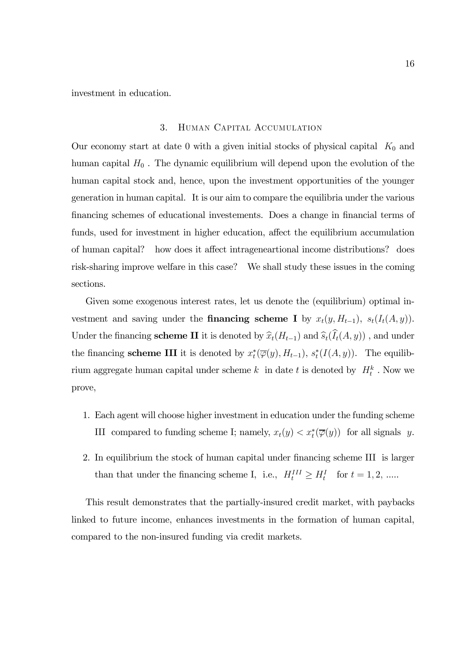investment in education.

# 3. Human Capital Accumulation

Our economy start at date 0 with a given initial stocks of physical capital  $K_0$  and human capital  $H_0$ . The dynamic equilibrium will depend upon the evolution of the human capital stock and, hence, upon the investment opportunities of the younger generation in human capital. It is our aim to compare the equilibria under the various financing schemes of educational investements. Does a change in financial terms of funds, used for investment in higher education, affect the equilibrium accumulation of human capital? how does it affect intrageneartional income distributions? does risk-sharing improve welfare in this case? We shall study these issues in the coming sections.

Given some exogenous interest rates, let us denote the (equilibrium) optimal investment and saving under the **financing scheme I** by  $x_t(y, H_{t-1})$ ,  $s_t(I_t(A, y))$ . Under the financing **scheme II** it is denoted by  $\hat{x}_t(H_{t-1})$  and  $\hat{s}_t(I_t(A, y))$ , and under the financing **scheme III** it is denoted by  $x_t^*(\overline{\varphi}(y), H_{t-1}), s_t^*(I(A, y))$ . The equilibrium aggregate human capital under scheme  $k$  in date  $t$  is denoted by  $H_t^k$ . Now we prove,

- 1. Each agent will choose higher investment in education under the funding scheme III compared to funding scheme I; namely,  $x_t(y) < x_t^*(\overline{\varphi}(y))$  for all signals y.
- 2. In equilibrium the stock of human capital under financing scheme III is larger than that under the financing scheme I, i.e.,  $H_t^{III} \ge H_t^I$  for  $t = 1, 2, ....$

This result demonstrates that the partially-insured credit market, with paybacks linked to future income, enhances investments in the formation of human capital, compared to the non-insured funding via credit markets.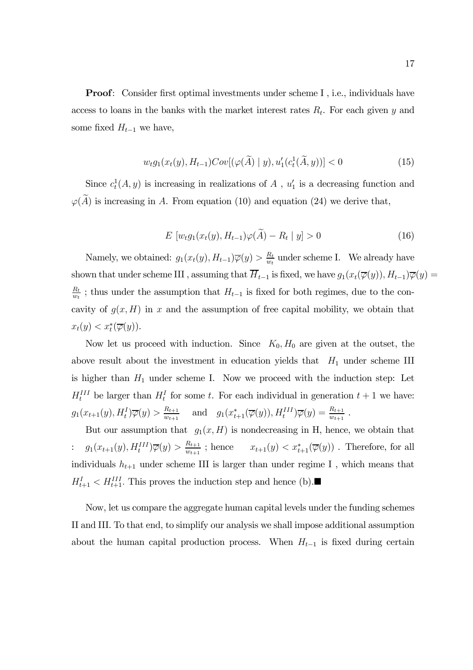Proof: Consider first optimal investments under scheme I , i.e., individuals have access to loans in the banks with the market interest rates  $R_t$ . For each given y and some fixed  $H_{t-1}$  we have,

$$
w_t g_1(x_t(y), H_{t-1}) Cov[(\varphi(\widetilde{A}) | y), u'_1(c_t^1(\widetilde{A}, y))] < 0
$$
\n(15)

Since  $c_t^1(A, y)$  is increasing in realizations of A,  $u'_1$  is a decreasing function and  $\varphi(A)$  is increasing in A. From equation (10) and equation (24) we derive that,

$$
E\left[w_t g_1(x_t(y), H_{t-1})\varphi(\widetilde{A}) - R_t \mid y\right] > 0\tag{16}
$$

Namely, we obtained:  $g_1(x_t(y), H_{t-1})\overline{\varphi}(y) > \frac{R_t}{w_t}$  under scheme I. We already have shown that under scheme III, assuming that  $\overline{H}_{t-1}$  is fixed, we have  $g_1(x_t(\overline{\varphi}(y)), H_{t-1})\overline{\varphi}(y) =$  $\frac{R_t}{w_t}$ ; thus under the assumption that  $H_{t-1}$  is fixed for both regimes, due to the concavity of  $g(x, H)$  in x and the assumption of free capital mobility, we obtain that  $x_t(y) < x_t^*(\overline{\varphi}(y)).$ 

Now let us proceed with induction. Since  $K_0, H_0$  are given at the outset, the above result about the investment in education yields that  $H_1$  under scheme III is higher than  $H_1$  under scheme I. Now we proceed with the induction step: Let  $H_t^{III}$  be larger than  $H_t^I$  for some t. For each individual in generation  $t + 1$  we have:  $g_1(x_{t+1}(y), H_t^I) \overline{\varphi}(y) > \frac{R_{t+1}}{w_{t+1}}$  and  $g_1(x_{t+1}^*(\overline{\varphi}(y)), H_t^{III}) \overline{\varphi}(y) = \frac{R_{t+1}}{w_{t+1}}$ .

But our assumption that  $g_1(x, H)$  is nondecreasing in H, hence, we obtain that :  $g_1(x_{t+1}(y), H_t^{III})\overline{\varphi}(y) > \frac{R_{t+1}}{w_{t+1}}$ ; hence  $x_{t+1}(y) < x_{t+1}^*(\overline{\varphi}(y))$ . Therefore, for all individuals  $h_{t+1}$  under scheme III is larger than under regime I, which means that  $H_{t+1}^I < H_{t+1}^{III}$ . This proves the induction step and hence (b).

Now, let us compare the aggregate human capital levels under the funding schemes II and III. To that end, to simplify our analysis we shall impose additional assumption about the human capital production process. When  $H_{t-1}$  is fixed during certain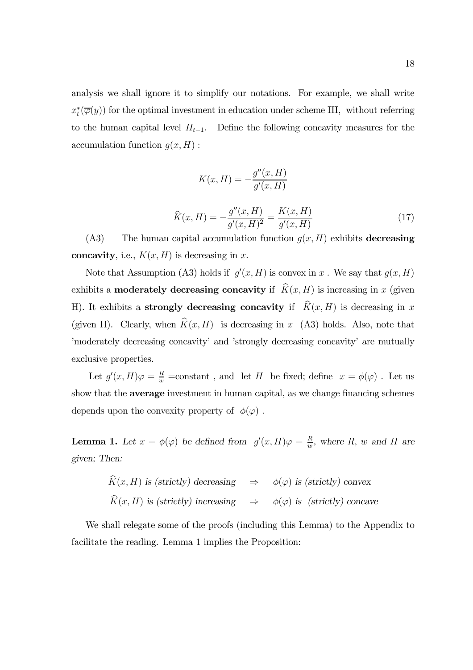analysis we shall ignore it to simplify our notations. For example, we shall write  $x_t^*(\overline{\varphi}(y))$  for the optimal investment in education under scheme III, without referring to the human capital level  $H_{t-1}$ . Define the following concavity measures for the accumulation function  $q(x, H)$ :

$$
K(x, H) = -\frac{g''(x, H)}{g'(x, H)}
$$

$$
\widehat{K}(x, H) = -\frac{g''(x, H)}{g'(x, H)^2} = \frac{K(x, H)}{g'(x, H)}
$$
(17)

(A3) The human capital accumulation function  $g(x, H)$  exhibits decreasing concavity, i.e.,  $K(x, H)$  is decreasing in x.

Note that Assumption (A3) holds if  $g'(x, H)$  is convex in x. We say that  $g(x, H)$ exhibits a **moderately decreasing concavity** if  $\widehat{K}(x, H)$  is increasing in x (given H). It exhibits a **strongly decreasing concavity** if  $\hat{K}(x, H)$  is decreasing in x (given H). Clearly, when  $\widehat{K}(x, H)$  is decreasing in x (A3) holds. Also, note that 'moderately decreasing concavity' and 'strongly decreasing concavity' are mutually exclusive properties.

Let  $g'(x,H)\varphi = \frac{R}{w}$  =constant, and let H be fixed; define  $x = \phi(\varphi)$ . Let us show that the average investment in human capital, as we change financing schemes depends upon the convexity property of  $\phi(\varphi)$ .

**Lemma 1.** Let  $x = \phi(\varphi)$  be defined from  $g'(x,H)\varphi = \frac{R}{w}$ , where R, w and H are given; Then:

$$
\hat{K}(x, H) \text{ is (strictly) decreasing} \Rightarrow \phi(\varphi) \text{ is (strictly) convex}
$$
\n
$$
\hat{K}(x, H) \text{ is (strictly) increasing} \Rightarrow \phi(\varphi) \text{ is (strictly) concave}
$$

We shall relegate some of the proofs (including this Lemma) to the Appendix to facilitate the reading. Lemma 1 implies the Proposition: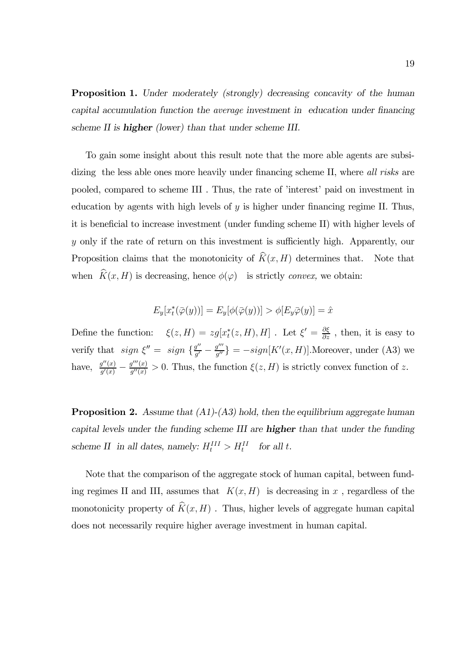Proposition 1. Under moderately (strongly) decreasing concavity of the human capital accumulation function the average investment in education under financing scheme II is **higher** (lower) than that under scheme III.

To gain some insight about this result note that the more able agents are subsidizing the less able ones more heavily under financing scheme II, where all risks are pooled, compared to scheme III . Thus, the rate of 'interest' paid on investment in education by agents with high levels of  $y$  is higher under financing regime II. Thus, it is beneficial to increase investment (under funding scheme II) with higher levels of y only if the rate of return on this investment is sufficiently high. Apparently, our Proposition claims that the monotonicity of  $\widehat{K}(x, H)$  determines that. Note that when  $\widehat{K}(x, H)$  is decreasing, hence  $\phi(\varphi)$  is strictly convex, we obtain:

$$
E_y[x_t^*(\overline{\varphi}(y))] = E_y[\phi(\overline{\varphi}(y))] > \phi[E_y \overline{\varphi}(y)] = \hat{x}
$$

Define the function:  $\xi(z,H) = zg[x_t^*(z,H), H]$ . Let  $\xi' = \frac{\partial \xi}{\partial z}$ , then, it is easy to verify that  $sign \xi'' = sign \{\frac{g''}{g'} - \frac{g'''}{g''}\} = -sign[K'(x, H)].$ Moreover, under (A3) we have,  $\frac{g''(x)}{g'(x)} - \frac{g'''(x)}{g''(x)} > 0$ . Thus, the function  $\xi(z, H)$  is strictly convex function of z.

**Proposition 2.** Assume that  $(A1)-(A3)$  hold, then the equilibrium aggregate human capital levels under the funding scheme III are higher than that under the funding scheme II in all dates, namely:  $H_t^{III} > H_t^{II}$  for all t.

Note that the comparison of the aggregate stock of human capital, between funding regimes II and III, assumes that  $K(x, H)$  is decreasing in x, regardless of the monotonicity property of  $\widehat{K}(x, H)$ . Thus, higher levels of aggregate human capital does not necessarily require higher average investment in human capital.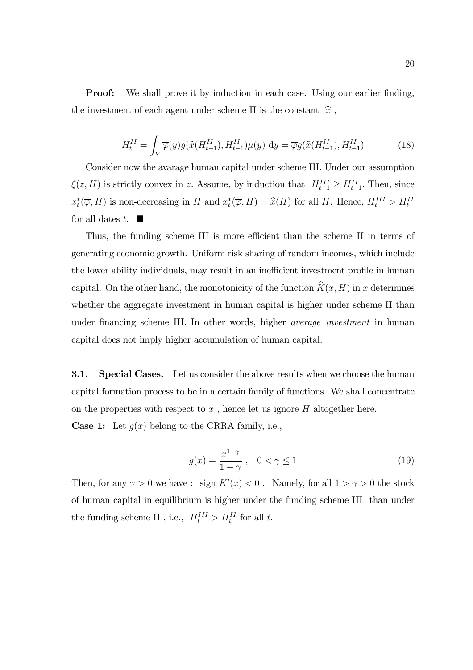**Proof:** We shall prove it by induction in each case. Using our earlier finding, the investment of each agent under scheme II is the constant  $\ \widehat{x}$  ,

$$
H_t^{II} = \int_Y \overline{\varphi}(y) g(\widehat{x}(H_{t-1}^{II}), H_{t-1}^{II}) \mu(y) \, \mathrm{d}y = \overline{\varphi} g(\widehat{x}(H_{t-1}^{II}), H_{t-1}^{II}) \tag{18}
$$

Consider now the avarage human capital under scheme III. Under our assumption  $\xi(z, H)$  is strictly convex in z. Assume, by induction that  $H_{t-1}^{III} \geq H_{t-1}^{II}$ . Then, since  $x_t^*(\overline{\varphi}, H)$  is non-decreasing in H and  $x_t^*(\overline{\varphi}, H) = \widehat{x}(H)$  for all H. Hence,  $H_t^{III} > H_t^{III}$ for all dates  $t$ .  $\blacksquare$ 

Thus, the funding scheme III is more efficient than the scheme II in terms of generating economic growth. Uniform risk sharing of random incomes, which include the lower ability individuals, may result in an inefficient investment profile in human capital. On the other hand, the monotonicity of the function  $\widehat{K}(x, H)$  in x determines whether the aggregate investment in human capital is higher under scheme II than under financing scheme III. In other words, higher average investment in human capital does not imply higher accumulation of human capital.

**3.1.** Special Cases. Let us consider the above results when we choose the human capital formation process to be in a certain family of functions. We shall concentrate on the properties with respect to  $x$ , hence let us ignore  $H$  altogether here. **Case 1:** Let  $g(x)$  belong to the CRRA family, i.e.,

$$
g(x) = \frac{x^{1-\gamma}}{1-\gamma}, \quad 0 < \gamma \le 1
$$
\n
$$
(19)
$$

Then, for any  $\gamma > 0$  we have : sign  $K'(x) < 0$ . Namely, for all  $1 > \gamma > 0$  the stock of human capital in equilibrium is higher under the funding scheme III than under the funding scheme II , i.e.,  $H_t^{III} > H_t^{II}$  for all t.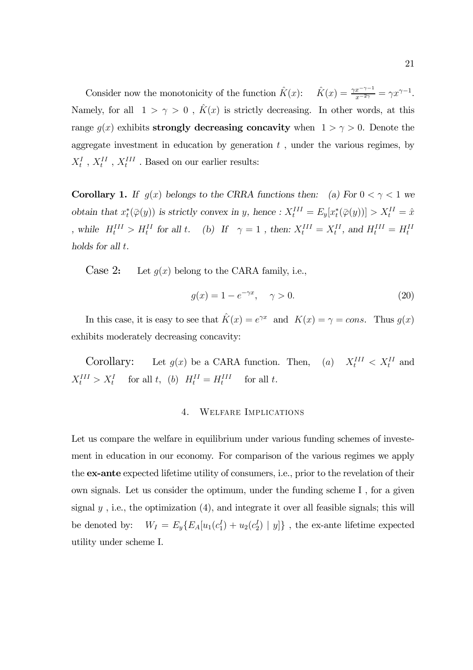Consider now the monotonicity of the function  $\hat{K}(x)$ :  $\hat{K}(x) = \frac{\gamma x^{-\gamma - 1}}{x^{-2\gamma}} = \gamma x^{\gamma - 1}$ . Namely, for all  $1 > \gamma > 0$ ,  $\hat{K}(x)$  is strictly decreasing. In other words, at this range  $g(x)$  exhibits **strongly decreasing concavity** when  $1 > \gamma > 0$ . Denote the aggregate investment in education by generation  $t$ , under the various regimes, by  $X^I_t$  ,  $X^{II}_t$  ,  $X^{III}_t$  . Based on our earlier results:

**Corollary 1.** If  $g(x)$  belongs to the CRRA functions then: (a) For  $0 < \gamma < 1$  we obtain that  $x_t^*(\overline{\varphi}(y))$  is strictly convex in y, hence :  $X_t^{III} = E_y[x_t^*(\overline{\varphi}(y))] > X_t^{II} = \hat{x}$ , while  $H_t^{III} > H_t^{II}$  for all t. (b) If  $\gamma = 1$ , then:  $X_t^{III} = X_t^{II}$ , and  $H_t^{III} = H_t^{II}$ holds for all t.

Case 2: Let  $g(x)$  belong to the CARA family, i.e.,

$$
g(x) = 1 - e^{-\gamma x}, \quad \gamma > 0.
$$
 (20)

In this case, it is easy to see that  $\hat{K}(x) = e^{\gamma x}$  and  $K(x) = \gamma = const$ . Thus  $g(x)$ exhibits moderately decreasing concavity:

Corollary: Let  $g(x)$  be a CARA function. Then, (a)  $X_t^{III} < X_t^{II}$  and  $X_t^{III} > X_t^I$  for all t, (b)  $H_t^{II} = H_t^{III}$ for all  $t$ .

## 4. Welfare Implications

Let us compare the welfare in equilibrium under various funding schemes of investement in education in our economy. For comparison of the various regimes we apply the ex-ante expected lifetime utility of consumers, i.e., prior to the revelation of their own signals. Let us consider the optimum, under the funding scheme I , for a given signal  $y$ , i.e., the optimization  $(4)$ , and integrate it over all feasible signals; this will be denoted by:  $W_I = E_y \{ E_A[u_1(c_1^I) + u_2(c_2^I) | y] \}$ , the ex-ante lifetime expected utility under scheme I.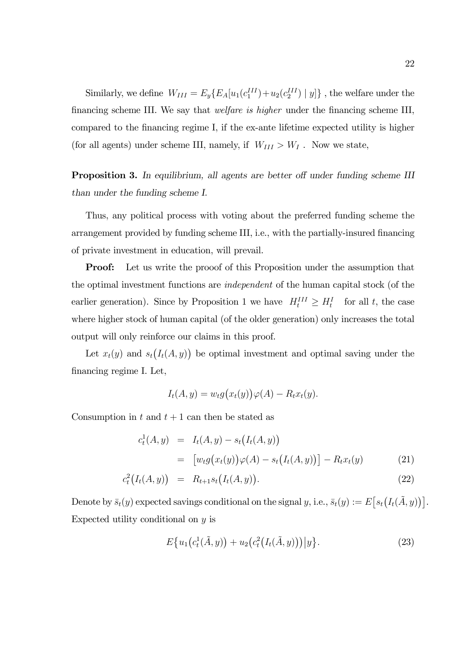Similarly, we define  $W_{III} = E_y \{ E_A[u_1(c_1^{III}) + u_2(c_2^{III}) \mid y] \}$ , the welfare under the financing scheme III. We say that welfare is higher under the financing scheme III, compared to the financing regime I, if the ex-ante lifetime expected utility is higher (for all agents) under scheme III, namely, if  $W_{III} > W_I$  . Now we state,

Proposition 3. In equilibrium, all agents are better off under funding scheme III than under the funding scheme I.

Thus, any political process with voting about the preferred funding scheme the arrangement provided by funding scheme III, i.e., with the partially-insured financing of private investment in education, will prevail.

**Proof:** Let us write the proof of this Proposition under the assumption that the optimal investment functions are independent of the human capital stock (of the earlier generation). Since by Proposition 1 we have  $H_t^{III} \geq H_t^I$  for all t, the case where higher stock of human capital (of the older generation) only increases the total output will only reinforce our claims in this proof.

Let  $x_t(y)$  and  $s_t(I_t(A, y))$  be optimal investment and optimal saving under the financing regime I. Let,

$$
I_t(A, y) = w_t g(x_t(y)) \varphi(A) - R_t x_t(y).
$$

Consumption in t and  $t + 1$  can then be stated as

$$
c_t^1(A, y) = I_t(A, y) - s_t(I_t(A, y))
$$
  
= 
$$
[w_t g(x_t(y))\varphi(A) - s_t(I_t(A, y))] - R_t x_t(y)
$$
 (21)

$$
c_t^2(I_t(A, y)) = R_{t+1}s_t(I_t(A, y)).
$$
\n(22)

Denote by  $\bar{s}_t(y)$  expected savings conditional on the signal y, i.e.,  $\bar{s}_t(y) := E[s_t(I_t(\tilde{A}, y))]$ . Expected utility conditional on  $y$  is

$$
E\{u_1(c_t^1(\tilde{A}, y)) + u_2(c_t^2(I_t(\tilde{A}, y)))|y\}.
$$
\n(23)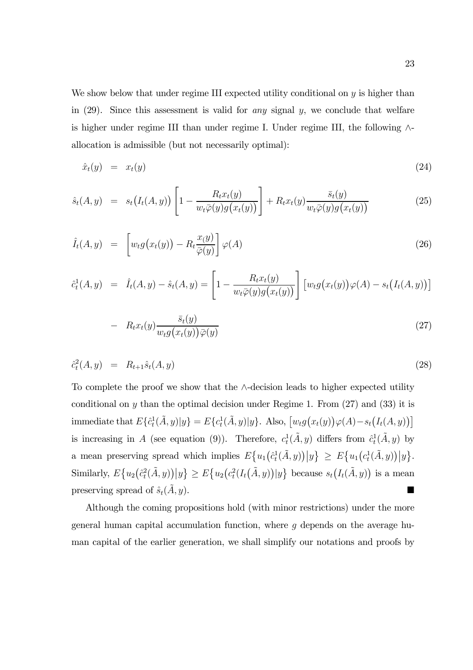We show below that under regime III expected utility conditional on  $y$  is higher than in  $(29)$ . Since this assessment is valid for any signal y, we conclude that welfare is higher under regime III than under regime I. Under regime III, the following ∧ allocation is admissible (but not necessarily optimal):

$$
\hat{x}_t(y) = x_t(y) \tag{24}
$$

$$
\hat{s}_t(A,y) = s_t\big(I_t(A,y)\big) \left[1 - \frac{R_t x_t(y)}{w_t \bar{\varphi}(y) g\big(x_t(y)\big)}\right] + R_t x_t(y) \frac{\bar{s}_t(y)}{w_t \bar{\varphi}(y) g\big(x_t(y)\big)}\tag{25}
$$

$$
\hat{I}_t(A, y) = \left[ w_t g\big(x_t(y)\big) - R_t \frac{x(y)}{\bar{\varphi}(y)} \right] \varphi(A) \tag{26}
$$

$$
\hat{c}_t^1(A, y) = \hat{I}_t(A, y) - \hat{s}_t(A, y) = \left[1 - \frac{R_t x_t(y)}{w_t \bar{\varphi}(y) g(x_t(y))}\right] \left[w_t g(x_t(y)) \varphi(A) - s_t \big(I_t(A, y)\big)\right]
$$

$$
- R_t x_t(y) \frac{\bar{s}_t(y)}{w_t g(x_t(y)) \bar{\varphi}(y)}
$$
\n
$$
(27)
$$

$$
\hat{c}_t^2(A, y) = R_{t+1}\hat{s}_t(A, y) \tag{28}
$$

To complete the proof we show that the ∧-decision leads to higher expected utility conditional on y than the optimal decision under Regime 1. From  $(27)$  and  $(33)$  it is immediate that  $E\{\hat{c}_t^1(\tilde{A},y)|y\} = E\{c_t^1(\tilde{A},y)|y\}$ . Also,  $[w_t g(x_t(y))\varphi(A) - s_t (I_t(A, y))]$ is increasing in A (see equation (9)). Therefore,  $c_t^1(\tilde{A}, y)$  differs from  $\hat{c}_t^1(\tilde{A}, y)$  by a mean preserving spread which implies  $E\{u_1(\hat{c}_t^1(\tilde{A},y))|y\} \ge E\{u_1(c_t^1(\tilde{A},y))|y\}.$ Similarly,  $E\{u_2(\hat{c}_t^2(\tilde{A},y))|y\} \ge E\{u_2(c_t^2(I_t(\tilde{A},y))|y\})$  because  $s_t(I_t(\tilde{A},y))$  is a mean preserving spread of  $\hat{s}_t(A, y)$ .

Although the coming propositions hold (with minor restrictions) under the more general human capital accumulation function, where  $g$  depends on the average human capital of the earlier generation, we shall simplify our notations and proofs by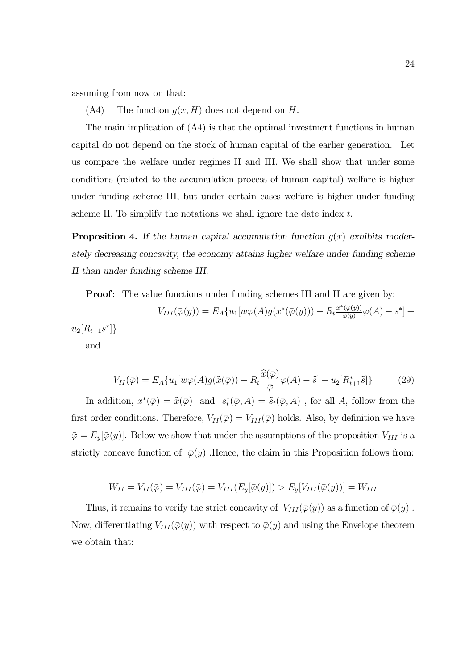assuming from now on that:

 $(A4)$  The function  $g(x, H)$  does not depend on H.

The main implication of (A4) is that the optimal investment functions in human capital do not depend on the stock of human capital of the earlier generation. Let us compare the welfare under regimes II and III. We shall show that under some conditions (related to the accumulation process of human capital) welfare is higher under funding scheme III, but under certain cases welfare is higher under funding scheme II. To simplify the notations we shall ignore the date index  $t$ .

**Proposition 4.** If the human capital accumulation function  $g(x)$  exhibits moderately decreasing concavity, the economy attains higher welfare under funding scheme II than under funding scheme III.

**Proof:** The value functions under funding schemes III and II are given by:

$$
V_{III}(\bar{\varphi}(y)) = E_A\{u_1[w\varphi(A)g(x^*(\bar{\varphi}(y))) - R_t \frac{x^*(\bar{\varphi}(y))}{\bar{\varphi}(y)}\varphi(A) - s^*\} + u_2[R_{t+1}s^*]\}
$$

and

$$
V_{II}(\bar{\varphi}) = E_A\{u_1[w\varphi(A)g(\widehat{x}(\bar{\varphi})) - R_t \frac{\widehat{x}(\bar{\varphi})}{\bar{\varphi}}\varphi(A) - \widehat{s}\} + u_2[R_{t+1}^*\widehat{s}]\} \tag{29}
$$

In addition,  $x^*(\bar{\varphi}) = \hat{x}(\bar{\varphi})$  and  $s_t^*(\bar{\varphi}, A) = \hat{s}_t(\bar{\varphi}, A)$ , for all A, follow from the first order conditions. Therefore,  $V_{II}(\bar{\varphi}) = V_{III}(\bar{\varphi})$  holds. Also, by definition we have  $\overline{\varphi} = E_y[\overline{\varphi}(y)]$ . Below we show that under the assumptions of the proposition  $V_{III}$  is a strictly concave function of  $\varphi(y)$ . Hence, the claim in this Proposition follows from:

$$
W_{II} = V_{II}(\bar{\varphi}) = V_{III}(\bar{\varphi}) = V_{III}(E_y[\bar{\varphi}(y)]) > E_y[V_{III}(\bar{\varphi}(y))] = W_{III}
$$

Thus, it remains to verify the strict concavity of  $V_{III}(\bar{\varphi}(y))$  as a function of  $\bar{\varphi}(y)$ . Now, differentiating  $V_{III}(\bar{\varphi}(y))$  with respect to  $\bar{\varphi}(y)$  and using the Envelope theorem we obtain that: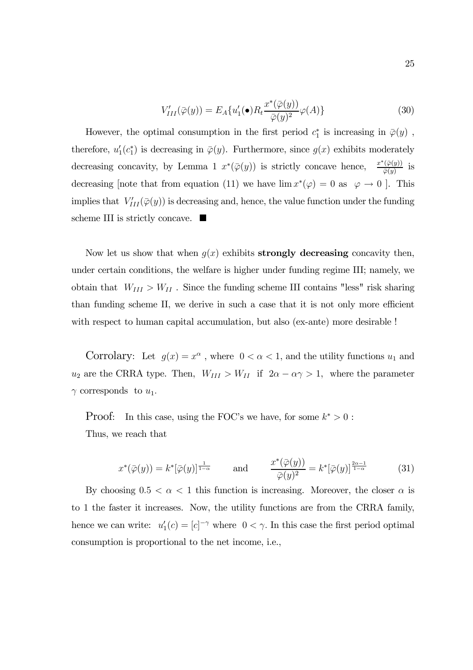$$
V'_{III}(\bar{\varphi}(y)) = E_A\{u'_1(\bullet)R_t \frac{x^*(\bar{\varphi}(y))}{\bar{\varphi}(y)^2} \varphi(A)\}
$$
(30)

However, the optimal consumption in the first period  $c_1^*$  is increasing in  $\bar{\varphi}(y)$ , therefore,  $u'_1(c_1^*)$  is decreasing in  $\overline{\varphi}(y)$ . Furthermore, since  $g(x)$  exhibits moderately decreasing concavity, by Lemma 1  $x*(\overline{\varphi}(y))$  is strictly concave hence,  $\frac{x^*(\overline{\varphi}(y))}{\overline{\varphi}(y)}$  is decreasing [note that from equation (11) we have  $\lim x^*(\varphi)=0$  as  $\varphi\to 0$  ]. This implies that  $V'_{III}(\bar{\varphi}(y))$  is decreasing and, hence, the value function under the funding scheme III is strictly concave.  $\blacksquare$ 

Now let us show that when  $q(x)$  exhibits **strongly decreasing** concavity then, under certain conditions, the welfare is higher under funding regime III; namely, we obtain that  $\; W_{III} > W_{II}$  . Since the funding scheme III contains "less" risk sharing than funding scheme II, we derive in such a case that it is not only more efficient with respect to human capital accumulation, but also (ex-ante) more desirable !

Corrolary: Let  $g(x) = x^{\alpha}$ , where  $0 < \alpha < 1$ , and the utility functions  $u_1$  and  $u_2$  are the CRRA type. Then,  $W_{III} > W_{II}$  if  $2\alpha - \alpha \gamma > 1$ , where the parameter  $\gamma$  corresponds to  $u_1$ .

Proof: In this case, using the FOC's we have, for some  $k^* > 0$ : Thus, we reach that

$$
x^*(\overline{\varphi}(y)) = k^*[\overline{\varphi}(y)]^{\frac{1}{1-\alpha}} \quad \text{and} \quad \frac{x^*(\overline{\varphi}(y))}{\overline{\varphi}(y)^2} = k^*[\overline{\varphi}(y)]^{\frac{2\alpha-1}{1-\alpha}} \quad (31)
$$

By choosing  $0.5 < \alpha < 1$  this function is increasing. Moreover, the closer  $\alpha$  is to 1 the faster it increases. Now, the utility functions are from the CRRA family, hence we can write:  $u'_1(c) = [c]^{-\gamma}$  where  $0 < \gamma$ . In this case the first period optimal consumption is proportional to the net income, i.e.,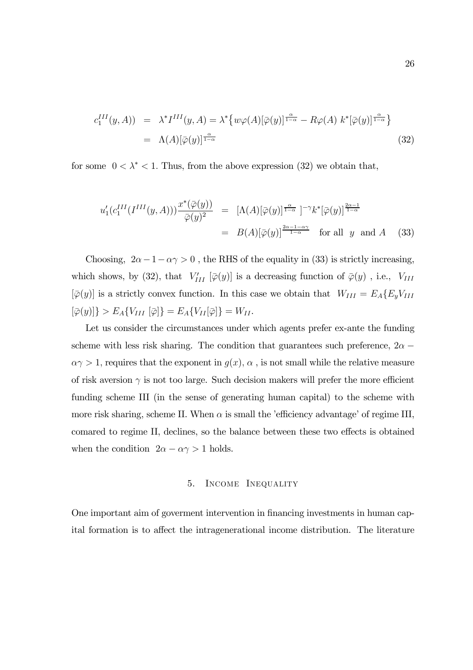$$
c_1^{III}(y, A) = \lambda^* I^{III}(y, A) = \lambda^* \{ w\varphi(A)[\overline{\varphi}(y)]^{\frac{\alpha}{1-\alpha}} - R\varphi(A) k^* [\overline{\varphi}(y)]^{\frac{\alpha}{1-\alpha}} \}
$$
  
=  $\Lambda(A)[\overline{\varphi}(y)]^{\frac{\alpha}{1-\alpha}}$  (32)

for some  $0 < \lambda^* < 1$ . Thus, from the above expression (32) we obtain that,

$$
u'_1(c_1^{III}(I^{III}(y,A)))\frac{x^*(\overline{\varphi}(y))}{\overline{\varphi}(y)^2} = [\Lambda(A)[\overline{\varphi}(y)]^{\frac{\alpha}{1-\alpha}}]^{-\gamma}k^*[\overline{\varphi}(y)]^{\frac{2\alpha-1}{1-\alpha}}
$$
  
=  $B(A)[\overline{\varphi}(y)]^{\frac{2\alpha-1-\alpha\gamma}{1-\alpha}}$  for all y and A (33)

Choosing,  $2\alpha - 1 - \alpha \gamma > 0$ , the RHS of the equality in (33) is strictly increasing, which shows, by (32), that  $V'_{III}$  [ $\overline{\varphi}(y)$ ] is a decreasing function of  $\overline{\varphi}(y)$ , i.e.,  $V_{III}$  $[\bar{\varphi}(y)]$  is a strictly convex function. In this case we obtain that  $W_{III} = E_A \{E_y V_{III}\}$  $\left[\bar{\varphi}(y)\right] > E_A \{V_{III} \left[\bar{\varphi}\right]\} = E_A \{V_{II}[\bar{\varphi}]\} = W_{II}.$ 

Let us consider the circumstances under which agents prefer ex-ante the funding scheme with less risk sharing. The condition that guarantees such preference,  $2\alpha \alpha \gamma > 1$ , requires that the exponent in  $g(x)$ ,  $\alpha$ , is not small while the relative measure of risk aversion  $\gamma$  is not too large. Such decision makers will prefer the more efficient funding scheme III (in the sense of generating human capital) to the scheme with more risk sharing, scheme II. When  $\alpha$  is small the 'efficiency advantage' of regime III, comared to regime II, declines, so the balance between these two effects is obtained when the condition  $2\alpha - \alpha \gamma > 1$  holds.

# 5. Income Inequality

One important aim of goverment intervention in financing investments in human capital formation is to affect the intragenerational income distribution. The literature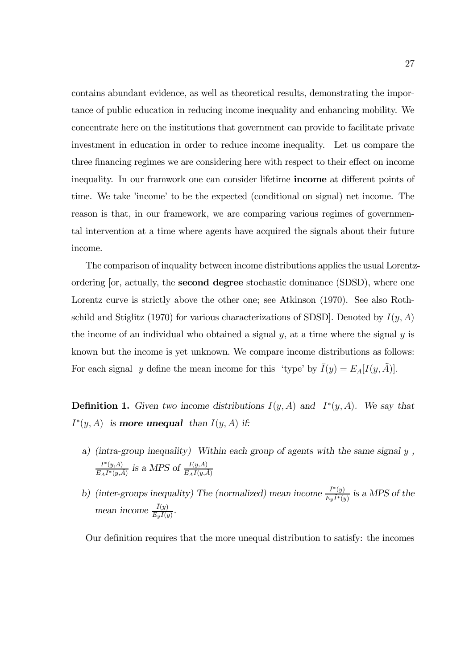contains abundant evidence, as well as theoretical results, demonstrating the importance of public education in reducing income inequality and enhancing mobility. We concentrate here on the institutions that government can provide to facilitate private investment in education in order to reduce income inequality. Let us compare the three financing regimes we are considering here with respect to their effect on income inequality. In our framwork one can consider lifetime income at different points of time. We take 'income' to be the expected (conditional on signal) net income. The reason is that, in our framework, we are comparing various regimes of governmental intervention at a time where agents have acquired the signals about their future income.

The comparison of inquality between income distributions applies the usual Lorentzordering [or, actually, the second degree stochastic dominance (SDSD), where one Lorentz curve is strictly above the other one; see Atkinson (1970). See also Rothschild and Stiglitz (1970) for various characterizations of SDSD. Denoted by  $I(y, A)$ the income of an individual who obtained a signal  $y$ , at a time where the signal  $y$  is known but the income is yet unknown. We compare income distributions as follows: For each signal y define the mean income for this 'type' by  $\bar{I}(y) = E_A[I(y, A)].$ 

**Definition 1.** Given two income distributions  $I(y, A)$  and  $I^*(y, A)$ . We say that  $I^*(y, A)$  is **more unequal** than  $I(y, A)$  if:

- a) (intra-group inequality) Within each group of agents with the same signal y ,  $\frac{I^*(y,A)}{E_A I^*(y,\tilde{A})}$  is a MPS of  $\frac{I(y,A)}{E_A I(y,\tilde{A})}$
- b) (inter-groups inequality) The (normalized) mean income  $\frac{\bar{I}^*(y)}{\sum \bar{I}^*(x)}$  $\frac{1}{E_y \tilde{I}^*(y)}$  is a MPS of the mean income  $\frac{\bar{I}(y)}{E \bar{I}(y)}$  $\frac{I(y)}{E_y\bar{I}(y)}$ .

Our definition requires that the more unequal distribution to satisfy: the incomes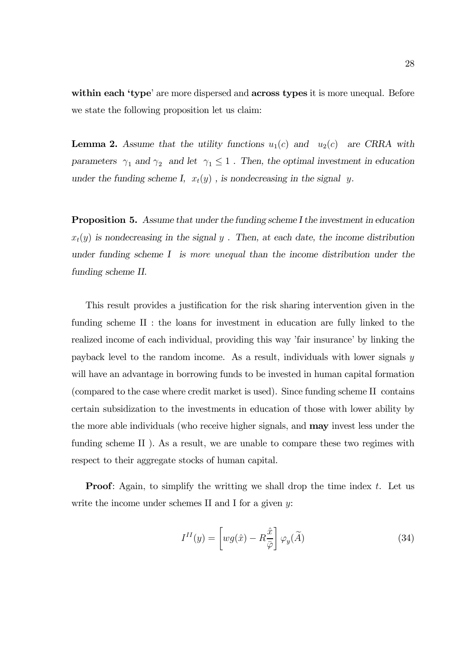within each 'type' are more dispersed and across types it is more unequal. Before we state the following proposition let us claim:

**Lemma 2.** Assume that the utility functions  $u_1(c)$  and  $u_2(c)$  are CRRA with parameters  $\gamma_1$  and  $\gamma_2$  and let  $\gamma_1 \leq 1$ . Then, the optimal investment in education under the funding scheme I,  $x_t(y)$ , is nondecreasing in the signal y.

Proposition 5. Assume that under the funding scheme I the investment in education  $x_t(y)$  is nondecreasing in the signal y. Then, at each date, the income distribution under funding scheme I is more unequal than the income distribution under the funding scheme II.

This result provides a justification for the risk sharing intervention given in the funding scheme II : the loans for investment in education are fully linked to the realized income of each individual, providing this way 'fair insurance' by linking the payback level to the random income. As a result, individuals with lower signals y will have an advantage in borrowing funds to be invested in human capital formation (compared to the case where credit market is used). Since funding scheme II contains certain subsidization to the investments in education of those with lower ability by the more able individuals (who receive higher signals, and may invest less under the funding scheme II ). As a result, we are unable to compare these two regimes with respect to their aggregate stocks of human capital.

**Proof:** Again, to simplify the writting we shall drop the time index  $t$ . Let us write the income under schemes II and I for a given  $y$ :

$$
I^{II}(y) = \left[ wg(\hat{x}) - R\frac{\hat{x}}{\bar{\varphi}}\right] \varphi_y(\tilde{A})
$$
\n(34)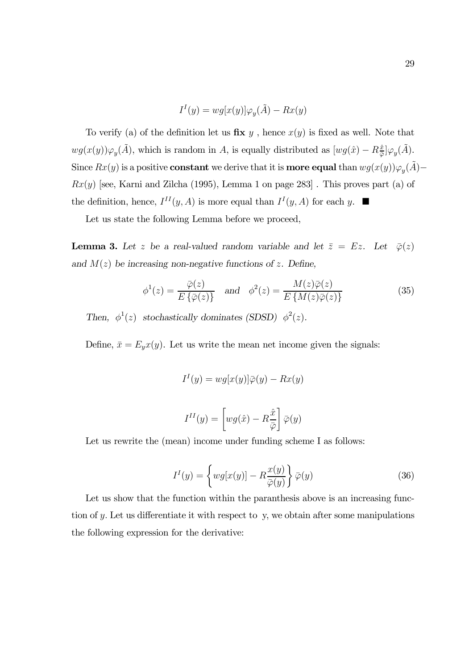$$
I^{I}(y) = wg[x(y)]\varphi_{y}(\tilde{A}) - Rx(y)
$$

To verify (a) of the definition let us  $\mathbf{fix}\ y$ , hence  $x(y)$  is fixed as well. Note that  $wg(x(y))\varphi_y(\tilde{A})$ , which is random in A, is equally distributed as  $[wg(\hat{x}) - R_{\bar{\varphi}}^{\hat{x}}]\varphi_y(\tilde{A})$ . Since  $Rx(y)$  is a positive **constant** we derive that it is **more equal** than  $wg(x(y))\varphi_y(\tilde{A})$ −  $Rx(y)$  [see, Karni and Zilcha (1995), Lemma 1 on page 283]. This proves part (a) of the definition, hence,  $I^{II}(y, A)$  is more equal than  $I^{I}(y, A)$  for each y.  $\blacksquare$ 

Let us state the following Lemma before we proceed,

**Lemma 3.** Let z be a real-valued random variable and let  $\bar{z} = Ez$ . Let  $\bar{\varphi}(z)$ and  $M(z)$  be increasing non-negative functions of z. Define,

$$
\phi^1(z) = \frac{\overline{\varphi}(z)}{E\{\overline{\varphi}(z)\}} \quad \text{and} \quad \phi^2(z) = \frac{M(z)\overline{\varphi}(z)}{E\{M(z)\overline{\varphi}(z)\}}
$$
(35)

Then,  $\phi^1(z)$  stochastically dominates (SDSD)  $\phi^2(z)$ .

Define,  $\bar{x} = E_y x(y)$ . Let us write the mean net income given the signals:

$$
I^{I}(y) = wg[x(y)]\bar{\varphi}(y) - Rx(y)
$$

$$
I^{II}(y) = \left[wg(\hat{x}) - R\frac{\hat{x}}{\bar{\varphi}}\right]\bar{\varphi}(y)
$$

Let us rewrite the (mean) income under funding scheme I as follows:

$$
I^{I}(y) = \left\{ wg[x(y)] - R\frac{x(y)}{\bar{\varphi}(y)}\right\} \bar{\varphi}(y)
$$
\n(36)

Let us show that the function within the paranthesis above is an increasing function of y. Let us differentiate it with respect to y, we obtain after some manipulations the following expression for the derivative: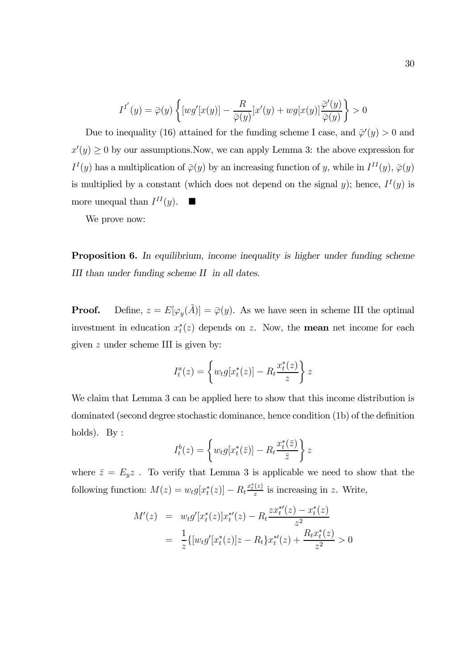$$
I^{I'}(y) = \overline{\varphi}(y) \left\{ [wg'[x(y)] - \frac{R}{\overline{\varphi}(y)}]x'(y) + wg[x(y)]\frac{\overline{\varphi}'(y)}{\overline{\varphi}(y)} \right\} > 0
$$

Due to inequality (16) attained for the funding scheme I case, and  $\bar{\varphi}'(y) > 0$  and  $x'(y) \geq 0$  by our assumptions. Now, we can apply Lemma 3: the above expression for  $I<sup>I</sup>(y)$  has a multiplication of  $\overline{\varphi}(y)$  by an increasing function of y, while in  $I<sup>II</sup>(y)$ ,  $\overline{\varphi}(y)$ is multiplied by a constant (which does not depend on the signal y); hence,  $I^I(y)$  is more unequal than  $I^{II}(y)$ .

We prove now:

Proposition 6. In equilibrium, income inequality is higher under funding scheme III than under funding scheme II in all dates.

**Proof.** Define,  $z = E[\varphi_y(\tilde{A})] = \overline{\varphi}(y)$ . As we have seen in scheme III the optimal investment in education  $x_t^*(z)$  depends on z. Now, the **mean** net income for each given z under scheme III is given by:

$$
I_t^a(z) = \left\{ w_t g[x_t^*(z)] - R_t \frac{x_t^*(z)}{z} \right\} z
$$

We claim that Lemma 3 can be applied here to show that this income distribution is dominated (second degree stochastic dominance, hence condition (1b) of the definition holds). By :

$$
I_t^b(z) = \left\{ w_t g[x_t^*(\bar{z})] - R_t \frac{x_t^*(\bar{z})}{\bar{z}} \right\} z
$$

where  $\bar{z} = E_y z$ . To verify that Lemma 3 is applicable we need to show that the following function:  $M(z) = w_t g[x_t^*(z)] - R_t \frac{x_t^*(z)}{z}$  is increasing in z. Write,

$$
M'(z) = w_t g'[x_t^*(z)]x_t^{*'}(z) - R_t \frac{z x_t^{*'}(z) - x_t^*(z)}{z^2}
$$
  
= 
$$
\frac{1}{z} \{ [w_t g'[x_t^*(z)]z - R_t \}x_t^{*'}(z) + \frac{R_t x_t^*(z)}{z^2} > 0
$$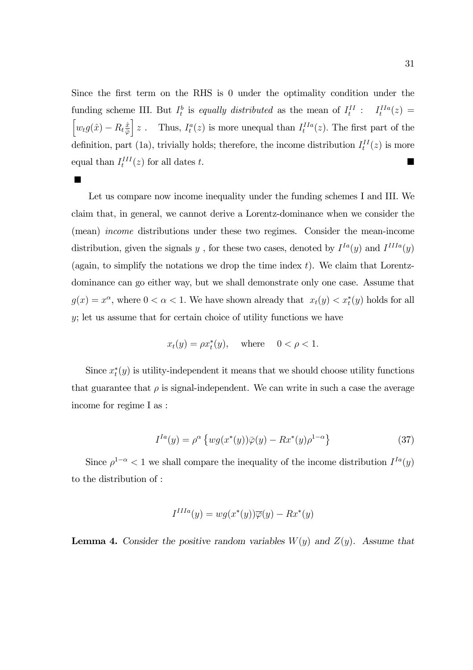Since the first term on the RHS is 0 under the optimality condition under the funding scheme III. But  $I_t^b$  is equally distributed as the mean of  $I_t^{II}$ :  $I_t^{IIa}(z)$  =  $\left[w_t g(\hat{x}) - R_t \frac{\hat{x}}{\bar{\varphi}}\right]$  $\bar{\varphi}$ i z. Thus,  $I_t^a(z)$  is more unequal than  $I_t^{IIa}(z)$ . The first part of the definition, part (1a), trivially holds; therefore, the income distribution  $I_t^{II}(z)$  is more equal than  $I_t^{III}(z)$  for all dates t.

п

Let us compare now income inequality under the funding schemes I and III. We claim that, in general, we cannot derive a Lorentz-dominance when we consider the (mean) income distributions under these two regimes. Consider the mean-income distribution, given the signals y, for these two cases, denoted by  $I^{Ia}(y)$  and  $I^{IIIa}(y)$ (again, to simplify the notations we drop the time index  $t$ ). We claim that Lorentzdominance can go either way, but we shall demonstrate only one case. Assume that  $g(x) = x^{\alpha}$ , where  $0 < \alpha < 1$ . We have shown already that  $x_t(y) < x_t^*(y)$  holds for all y; let us assume that for certain choice of utility functions we have

$$
x_t(y) = \rho x_t^*(y), \quad \text{where} \quad 0 < \rho < 1.
$$

Since  $x_t^*(y)$  is utility-independent it means that we should choose utility functions that guarantee that  $\rho$  is signal-independent. We can write in such a case the average income for regime I as :

$$
I^{Ia}(y) = \rho^{\alpha} \left\{ wg(x^*(y))\overline{\varphi}(y) - Rx^*(y)\rho^{1-\alpha} \right\}
$$
\n(37)

Since  $\rho^{1-\alpha}$  < 1 we shall compare the inequality of the income distribution  $I^{Ia}(y)$ to the distribution of :

$$
I^{IIIa}(y) = wg(x^*(y))\overline{\varphi}(y) - Rx^*(y)
$$

**Lemma 4.** Consider the positive random variables  $W(y)$  and  $Z(y)$ . Assume that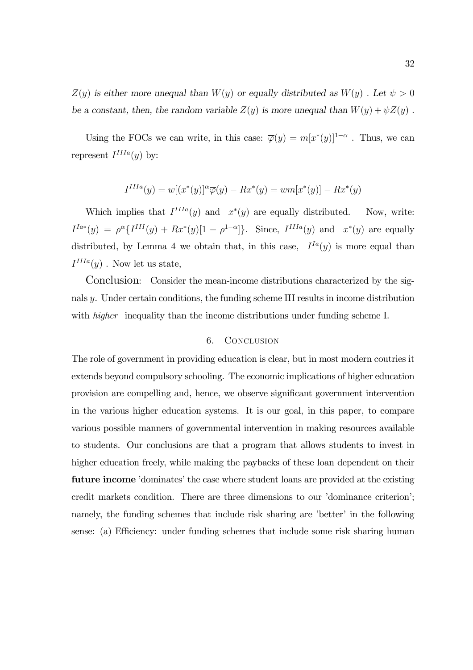$Z(y)$  is either more unequal than  $W(y)$  or equally distributed as  $W(y)$ . Let  $\psi > 0$ be a constant, then, the random variable  $Z(y)$  is more unequal than  $W(y) + \psi Z(y)$ .

Using the FOCs we can write, in this case:  $\overline{\varphi}(y) = m[x^*(y)]^{1-\alpha}$ . Thus, we can represent  $I^{IIIa}(y)$  by:

$$
I^{IIIa}(y) = w[(x^*(y))^{\alpha}\overline{\varphi}(y) - Rx^*(y)) = w m[x^*(y)] - Rx^*(y)
$$

Which implies that  $I^{IIIa}(y)$  and  $x^*(y)$  are equally distributed. Now, write:  $I^{Ia*}(y) = \rho^{\alpha} \{I^{III}(y) + Rx^{*}(y)[1 - \rho^{1-\alpha}]\}.$  Since,  $I^{IIIa}(y)$  and  $x^{*}(y)$  are equally distributed, by Lemma 4 we obtain that, in this case,  $I^{Ia}(y)$  is more equal than  $I^{IIIa}(y)$ . Now let us state,

Conclusion: Consider the mean-income distributions characterized by the signals y. Under certain conditions, the funding scheme III results in income distribution with *higher* inequality than the income distributions under funding scheme I.

# 6. Conclusion

The role of government in providing education is clear, but in most modern coutries it extends beyond compulsory schooling. The economic implications of higher education provision are compelling and, hence, we observe significant government intervention in the various higher education systems. It is our goal, in this paper, to compare various possible manners of governmental intervention in making resources available to students. Our conclusions are that a program that allows students to invest in higher education freely, while making the paybacks of these loan dependent on their future income 'dominates' the case where student loans are provided at the existing credit markets condition. There are three dimensions to our 'dominance criterion'; namely, the funding schemes that include risk sharing are 'better' in the following sense: (a) Efficiency: under funding schemes that include some risk sharing human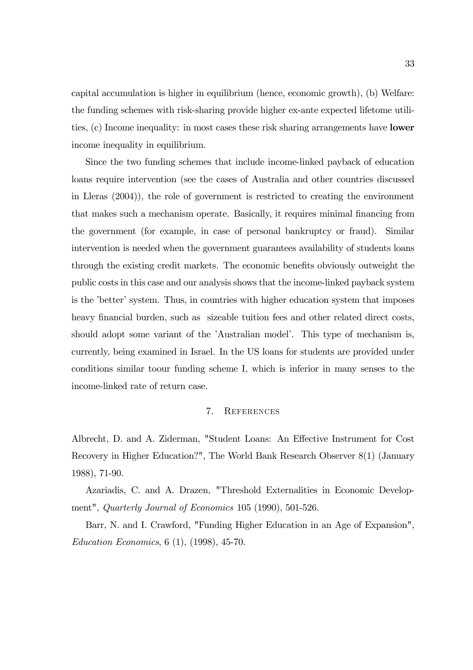capital accumulation is higher in equilibrium (hence, economic growth), (b) Welfare: the funding schemes with risk-sharing provide higher ex-ante expected lifetome utilities, (c) Income inequality: in most cases these risk sharing arrangements have lower income inequality in equilibrium.

Since the two funding schemes that include income-linked payback of education loans require intervention (see the cases of Australia and other countries discussed in Lleras (2004)), the role of government is restricted to creating the environment that makes such a mechanism operate. Basically, it requires minimal financing from the government (for example, in case of personal bankruptcy or fraud). Similar intervention is needed when the government guarantees availability of students loans through the existing credit markets. The economic benefits obviously outweight the public costs in this case and our analysis shows that the income-linked payback system is the 'better' system. Thus, in countries with higher education system that imposes heavy financial burden, such as sizeable tuition fees and other related direct costs, should adopt some variant of the 'Australian model'. This type of mechanism is, currently, being examined in Israel. In the US loans for students are provided under conditions similar toour funding scheme I, which is inferior in many senses to the income-linked rate of return case.

## 7. References

Albrecht, D. and A. Ziderman, "Student Loans: An Effective Instrument for Cost Recovery in Higher Education?", The World Bank Research Observer 8(1) (January 1988), 71-90.

Azariadis, C. and A. Drazen, "Threshold Externalities in Economic Development", Quarterly Journal of Economics 105 (1990), 501-526.

Barr, N. and I. Crawford, "Funding Higher Education in an Age of Expansion", Education Economics, 6 (1), (1998), 45-70.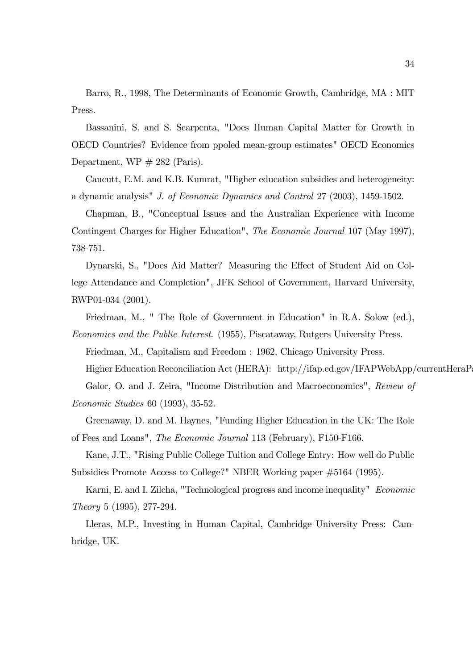Barro, R., 1998, The Determinants of Economic Growth, Cambridge, MA : MIT Press.

Bassanini, S. and S. Scarpenta, "Does Human Capital Matter for Growth in OECD Countries? Evidence from ppoled mean-group estimates" OECD Economics Department,  $WP \# 282$  (Paris).

Caucutt, E.M. and K.B. Kumrat, "Higher education subsidies and heterogeneity: a dynamic analysis" J. of Economic Dynamics and Control 27 (2003), 1459-1502.

Chapman, B., "Conceptual Issues and the Australian Experience with Income Contingent Charges for Higher Education", The Economic Journal 107 (May 1997), 738-751.

Dynarski, S., "Does Aid Matter? Measuring the Effect of Student Aid on College Attendance and Completion", JFK School of Government, Harvard University, RWP01-034 (2001).

Friedman, M., " The Role of Government in Education" in R.A. Solow (ed.),

Economics and the Public Interest. (1955), Piscataway, Rutgers University Press.

Friedman, M., Capitalism and Freedom : 1962, Chicago University Press.

Higher Education Reconciliation Act (HERA): http://ifap.ed.gov/IFAPWebApp/currentHeraPa

Galor, O. and J. Zeira, "Income Distribution and Macroeconomics", Review of

Economic Studies 60 (1993), 35-52.

Greenaway, D. and M. Haynes, "Funding Higher Education in the UK: The Role of Fees and Loans", The Economic Journal 113 (February), F150-F166.

Kane, J.T., "Rising Public College Tuition and College Entry: How well do Public Subsidies Promote Access to College?" NBER Working paper #5164 (1995).

Karni, E. and I. Zilcha, "Technological progress and income inequality" Economic Theory 5 (1995), 277-294.

Lleras, M.P., Investing in Human Capital, Cambridge University Press: Cambridge, UK.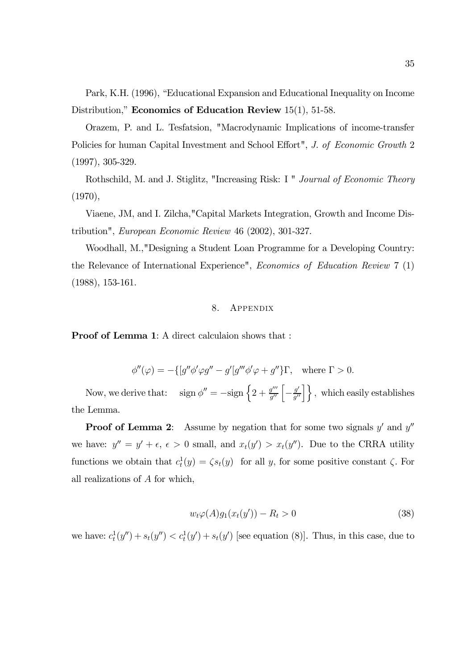Park, K.H. (1996), "Educational Expansion and Educational Inequality on Income Distribution," Economics of Education Review 15(1), 51-58.

Orazem, P. and L. Tesfatsion, "Macrodynamic Implications of income-transfer Policies for human Capital Investment and School Effort", J. of Economic Growth 2 (1997), 305-329.

Rothschild, M. and J. Stiglitz, "Increasing Risk: I " Journal of Economic Theory (1970),

Viaene, JM, and I. Zilcha,"Capital Markets Integration, Growth and Income Distribution", European Economic Review 46 (2002), 301-327.

Woodhall, M.,"Designing a Student Loan Programme for a Developing Country: the Relevance of International Experience", Economics of Education Review 7 (1) (1988), 153-161.

#### 8. Appendix

Proof of Lemma 1: A direct calculaion shows that :

$$
\phi''(\varphi) = -\{ [g''\phi'\varphi g'' - g'[g''' \phi'\varphi + g''\} \Gamma, \text{ where } \Gamma > 0.
$$

Now, we derive that:  $\text{sign }\phi'' = -\text{sign }\left\{2 + \frac{g'''}{g''}\left[-\frac{g'}{g''}\right]\right\},\text{ which easily establishes}$ the Lemma.

**Proof of Lemma 2:** Assume by negation that for some two signals  $y'$  and  $y''$ we have:  $y'' = y' + \epsilon$ ,  $\epsilon > 0$  small, and  $x_t(y') > x_t(y'')$ . Due to the CRRA utility functions we obtain that  $c_t^1(y) = \zeta s_t(y)$  for all y, for some positive constant  $\zeta$ . For all realizations of A for which,

$$
w_t \varphi(A) g_1(x_t(y')) - R_t > 0 \tag{38}
$$

we have:  $c_t^1(y'') + s_t(y'') < c_t^1(y') + s_t(y')$  [see equation (8)]. Thus, in this case, due to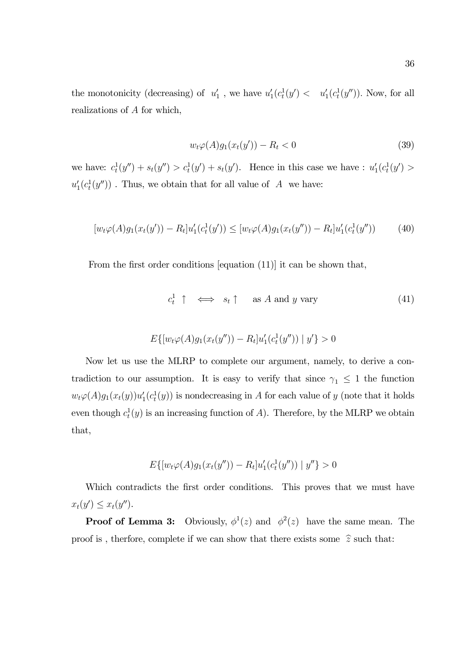the monotonicity (decreasing) of  $u'_1$ , we have  $u'_1(c_t^1(y') \lt u'_1(c_t^1(y''))$ . Now, for all realizations of A for which,

$$
w_t \varphi(A) g_1(x_t(y')) - R_t < 0 \tag{39}
$$

we have:  $c_t^1(y'') + s_t(y'') > c_t^1(y') + s_t(y')$ . Hence in this case we have :  $u'_1(c_t^1(y') >$  $u'_1(c_t^1(y''))$ . Thus, we obtain that for all value of A we have:

$$
[w_t \varphi(A)g_1(x_t(y')) - R_t]u'_1(c_t^1(y')) \leq [w_t \varphi(A)g_1(x_t(y'')) - R_t]u'_1(c_t^1(y'')) \tag{40}
$$

From the first order conditions [equation (11)] it can be shown that,

$$
c_t^1 \uparrow \iff s_t \uparrow \text{ as } A \text{ and } y \text{ vary} \tag{41}
$$

$$
E\{[w_t\varphi(A)g_1(x_t(y'')) - R_t]u'_1(c_t^1(y'')) | y'\} > 0
$$

Now let us use the MLRP to complete our argument, namely, to derive a contradiction to our assumption. It is easy to verify that since  $\gamma_1 \leq 1$  the function  $w_t\varphi(A)g_1(x_t(y))u'_1(c_t^1(y))$  is nondecreasing in A for each value of y (note that it holds even though  $c_t^1(y)$  is an increasing function of A). Therefore, by the MLRP we obtain that,

$$
E\{[w_t\varphi(A)g_1(x_t(y'')) - R_t]u'_1(c_t^1(y'')) | y''\} > 0
$$

Which contradicts the first order conditions. This proves that we must have  $x_t(y') \leq x_t(y'').$ 

**Proof of Lemma 3:** Obviously,  $\phi^1(z)$  and  $\phi^2(z)$  have the same mean. The proof is, therfore, complete if we can show that there exists some  $\hat{z}$  such that: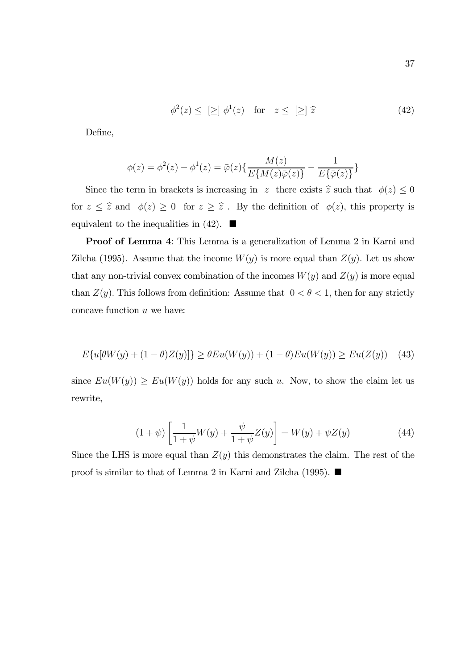$$
\phi^2(z) \leq \left[\geq\right] \phi^1(z) \quad \text{for} \quad z \leq \left[\geq\right] \widehat{z} \tag{42}
$$

Define,

$$
\phi(z) = \phi^{2}(z) - \phi^{1}(z) = \bar{\varphi}(z)\{\frac{M(z)}{E\{M(z)\bar{\varphi}(z)\}} - \frac{1}{E\{\bar{\varphi}(z)\}}\}
$$

Since the term in brackets is increasing in z there exists  $\hat{z}$  such that  $\phi(z) \leq 0$ for  $z \leq \hat{z}$  and  $\phi(z) \geq 0$  for  $z \geq \hat{z}$ . By the definition of  $\phi(z)$ , this property is equivalent to the inequalities in (42).  $\blacksquare$ 

Proof of Lemma 4: This Lemma is a generalization of Lemma 2 in Karni and Zilcha (1995). Assume that the income  $W(y)$  is more equal than  $Z(y)$ . Let us show that any non-trivial convex combination of the incomes  $W(y)$  and  $Z(y)$  is more equal than  $Z(y)$ . This follows from definition: Assume that  $0 < \theta < 1$ , then for any strictly concave function u we have:

$$
E\{u[\theta W(y) + (1 - \theta)Z(y)]\} \ge \theta Eu(W(y)) + (1 - \theta)Eu(W(y)) \ge Eu(Z(y))
$$
 (43)

since  $Eu(W(y)) \ge Eu(W(y))$  holds for any such u. Now, to show the claim let us rewrite,

$$
(1 + \psi) \left[ \frac{1}{1 + \psi} W(y) + \frac{\psi}{1 + \psi} Z(y) \right] = W(y) + \psi Z(y)
$$
 (44)

Since the LHS is more equal than  $Z(y)$  this demonstrates the claim. The rest of the proof is similar to that of Lemma 2 in Karni and Zilcha (1995).  $\blacksquare$